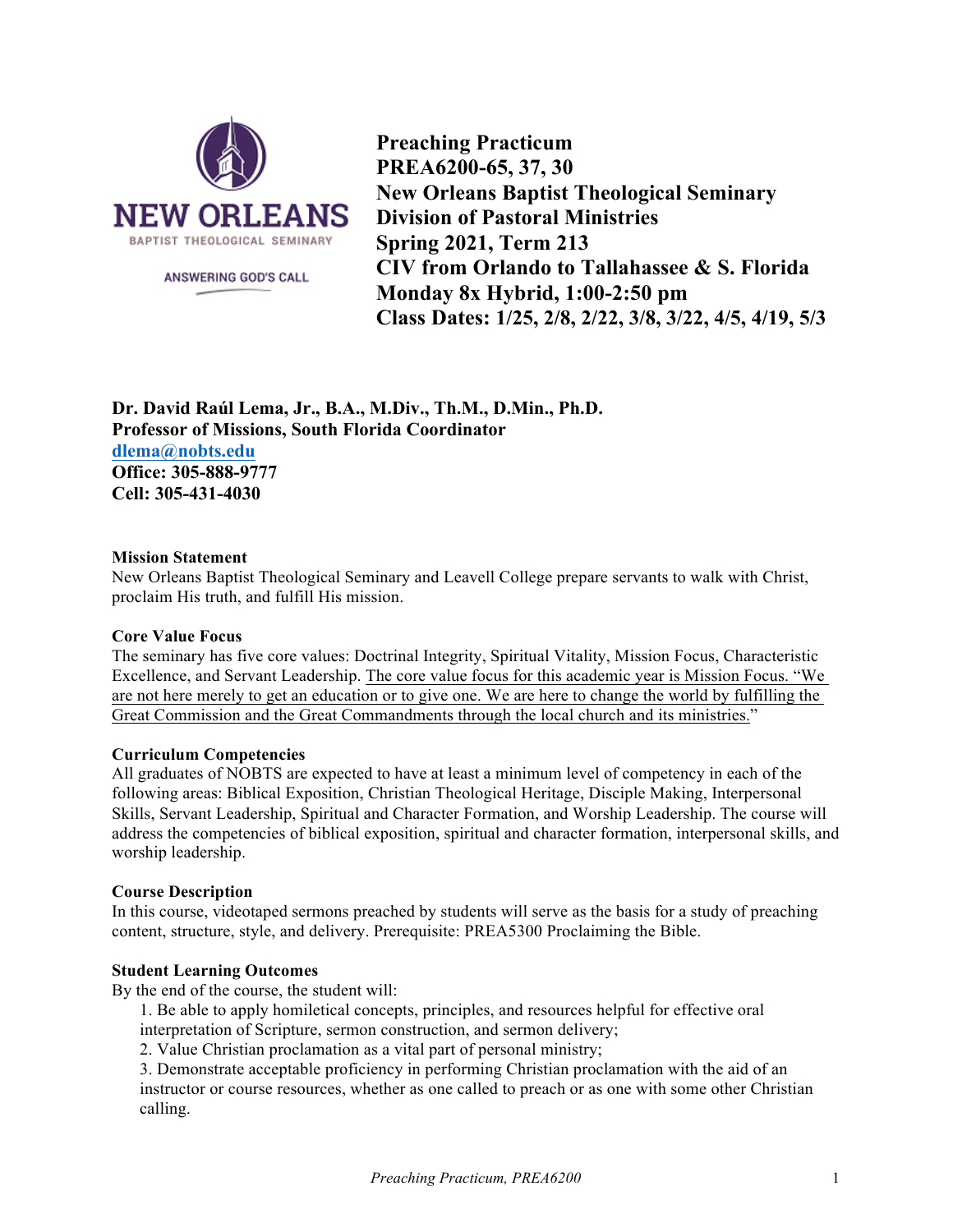

ANSWERING GOD'S CALL

**Preaching Practicum PREA6200-65, 37, 30 New Orleans Baptist Theological Seminary Division of Pastoral Ministries Spring 2021, Term 213 CIV from Orlando to Tallahassee & S. Florida Monday 8x Hybrid, 1:00-2:50 pm Class Dates: 1/25, 2/8, 2/22, 3/8, 3/22, 4/5, 4/19, 5/3**

**Dr. David Raúl Lema, Jr., B.A., M.Div., Th.M., D.Min., Ph.D. Professor of Missions, South Florida Coordinator dlema@nobts.edu Office: 305-888-9777 Cell: 305-431-4030**

### **Mission Statement**

New Orleans Baptist Theological Seminary and Leavell College prepare servants to walk with Christ, proclaim His truth, and fulfill His mission.

## **Core Value Focus**

The seminary has five core values: Doctrinal Integrity, Spiritual Vitality, Mission Focus, Characteristic Excellence, and Servant Leadership. The core value focus for this academic year is Mission Focus. "We are not here merely to get an education or to give one. We are here to change the world by fulfilling the Great Commission and the Great Commandments through the local church and its ministries."

### **Curriculum Competencies**

All graduates of NOBTS are expected to have at least a minimum level of competency in each of the following areas: Biblical Exposition, Christian Theological Heritage, Disciple Making, Interpersonal Skills, Servant Leadership, Spiritual and Character Formation, and Worship Leadership. The course will address the competencies of biblical exposition, spiritual and character formation, interpersonal skills, and worship leadership.

## **Course Description**

In this course, videotaped sermons preached by students will serve as the basis for a study of preaching content, structure, style, and delivery. Prerequisite: PREA5300 Proclaiming the Bible.

### **Student Learning Outcomes**

By the end of the course, the student will:

- 1. Be able to apply homiletical concepts, principles, and resources helpful for effective oral interpretation of Scripture, sermon construction, and sermon delivery;
- 2. Value Christian proclamation as a vital part of personal ministry;

3. Demonstrate acceptable proficiency in performing Christian proclamation with the aid of an instructor or course resources, whether as one called to preach or as one with some other Christian calling.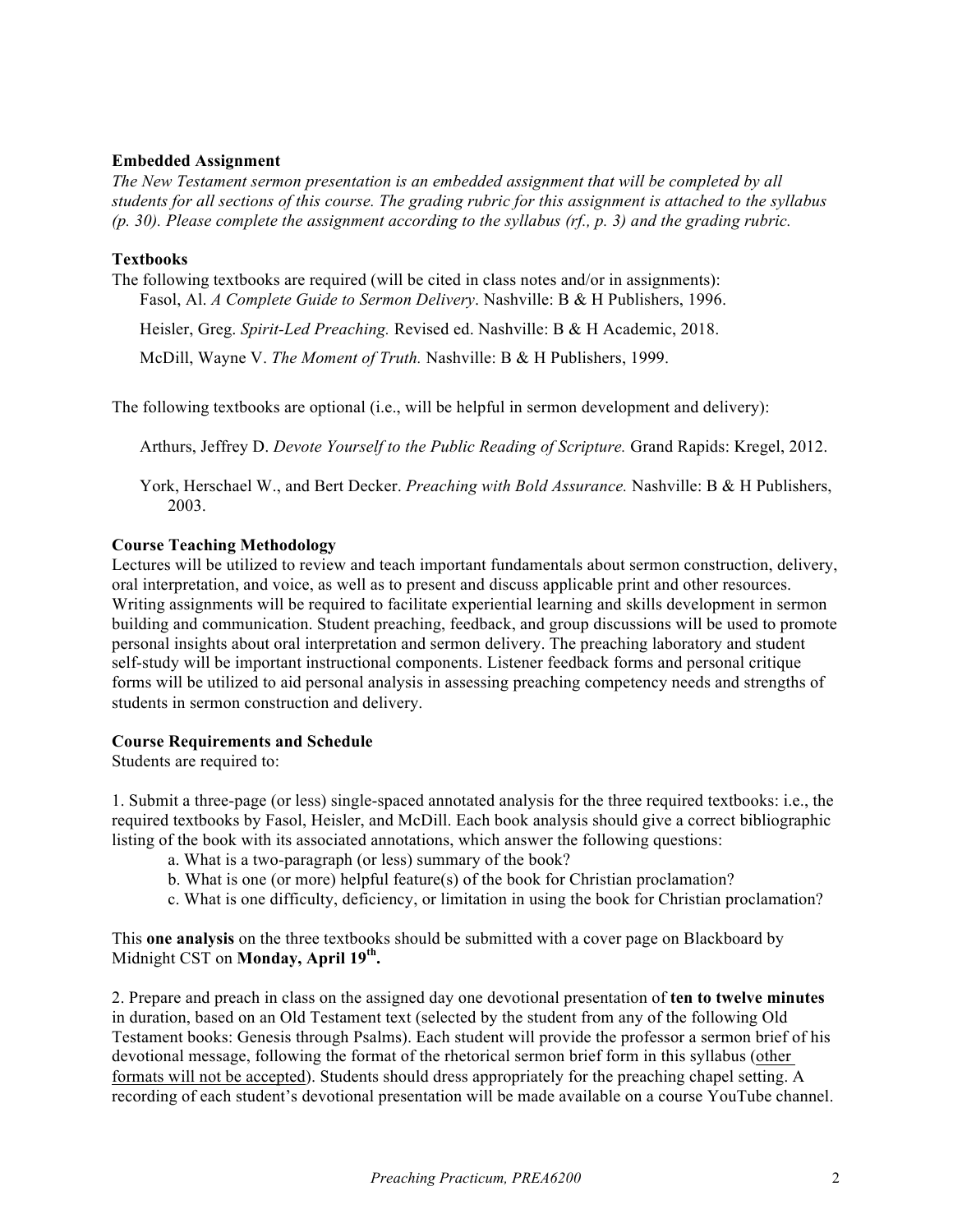## **Embedded Assignment**

*The New Testament sermon presentation is an embedded assignment that will be completed by all students for all sections of this course. The grading rubric for this assignment is attached to the syllabus (p. 30). Please complete the assignment according to the syllabus (rf., p. 3) and the grading rubric.*

### **Textbooks**

The following textbooks are required (will be cited in class notes and/or in assignments): Fasol, Al. *A Complete Guide to Sermon Delivery*. Nashville: B & H Publishers, 1996.

Heisler, Greg. *Spirit-Led Preaching.* Revised ed. Nashville: B & H Academic, 2018.

McDill, Wayne V. *The Moment of Truth.* Nashville: B & H Publishers, 1999.

The following textbooks are optional (i.e., will be helpful in sermon development and delivery):

Arthurs, Jeffrey D. *Devote Yourself to the Public Reading of Scripture.* Grand Rapids: Kregel, 2012.

York, Herschael W., and Bert Decker. *Preaching with Bold Assurance.* Nashville: B & H Publishers, 2003.

### **Course Teaching Methodology**

Lectures will be utilized to review and teach important fundamentals about sermon construction, delivery, oral interpretation, and voice, as well as to present and discuss applicable print and other resources. Writing assignments will be required to facilitate experiential learning and skills development in sermon building and communication. Student preaching, feedback, and group discussions will be used to promote personal insights about oral interpretation and sermon delivery. The preaching laboratory and student self-study will be important instructional components. Listener feedback forms and personal critique forms will be utilized to aid personal analysis in assessing preaching competency needs and strengths of students in sermon construction and delivery.

### **Course Requirements and Schedule**

Students are required to:

1. Submit a three-page (or less) single-spaced annotated analysis for the three required textbooks: i.e., the required textbooks by Fasol, Heisler, and McDill. Each book analysis should give a correct bibliographic listing of the book with its associated annotations, which answer the following questions:

- a. What is a two-paragraph (or less) summary of the book?
- b. What is one (or more) helpful feature(s) of the book for Christian proclamation?
- c. What is one difficulty, deficiency, or limitation in using the book for Christian proclamation?

This **one analysis** on the three textbooks should be submitted with a cover page on Blackboard by Midnight CST on **Monday, April 19th.**

2. Prepare and preach in class on the assigned day one devotional presentation of **ten to twelve minutes** in duration, based on an Old Testament text (selected by the student from any of the following Old Testament books: Genesis through Psalms). Each student will provide the professor a sermon brief of his devotional message, following the format of the rhetorical sermon brief form in this syllabus (other formats will not be accepted). Students should dress appropriately for the preaching chapel setting. A recording of each student's devotional presentation will be made available on a course YouTube channel.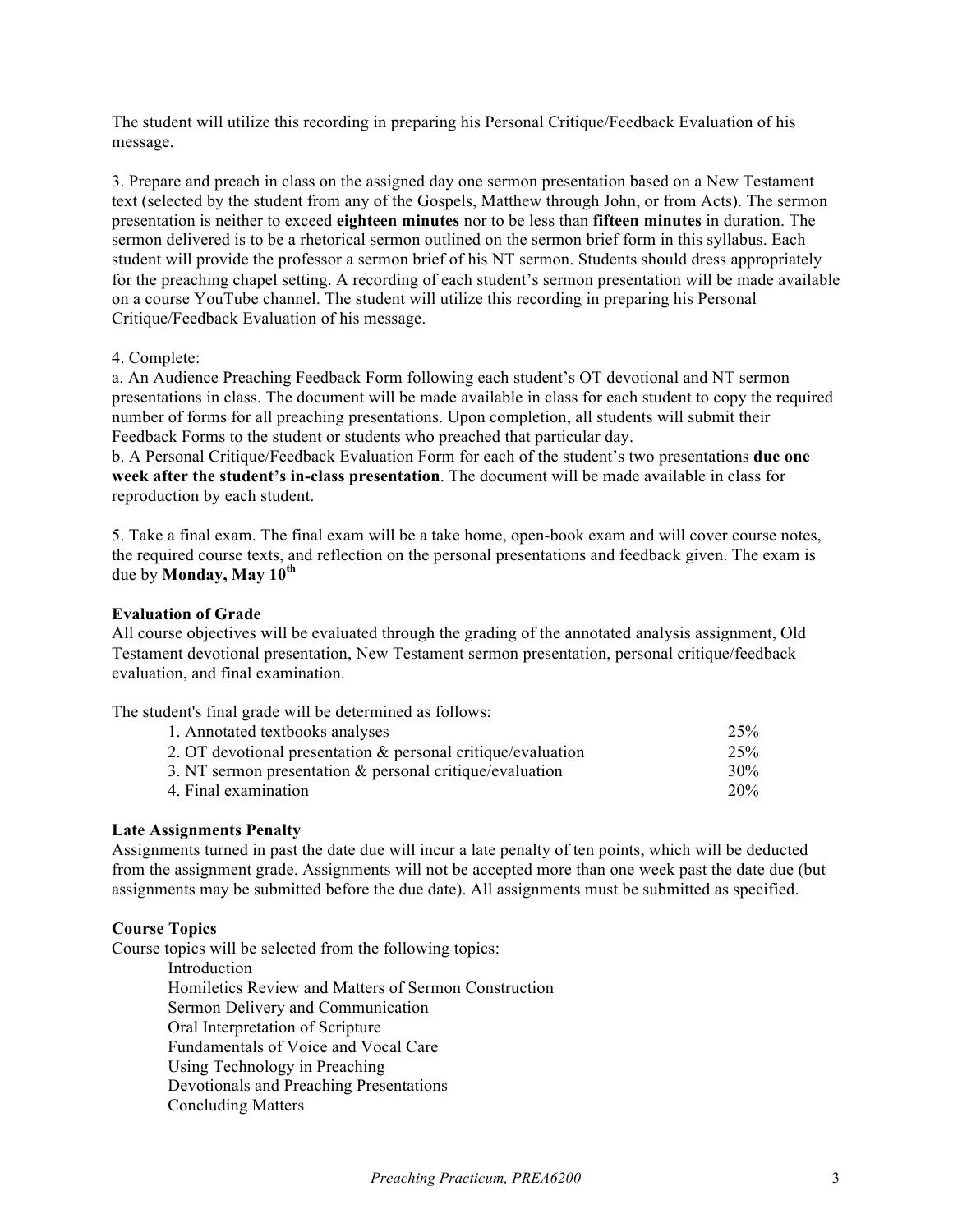The student will utilize this recording in preparing his Personal Critique/Feedback Evaluation of his message.

3. Prepare and preach in class on the assigned day one sermon presentation based on a New Testament text (selected by the student from any of the Gospels, Matthew through John, or from Acts). The sermon presentation is neither to exceed **eighteen minutes** nor to be less than **fifteen minutes** in duration. The sermon delivered is to be a rhetorical sermon outlined on the sermon brief form in this syllabus. Each student will provide the professor a sermon brief of his NT sermon. Students should dress appropriately for the preaching chapel setting. A recording of each student's sermon presentation will be made available on a course YouTube channel. The student will utilize this recording in preparing his Personal Critique/Feedback Evaluation of his message.

## 4. Complete:

a. An Audience Preaching Feedback Form following each student's OT devotional and NT sermon presentations in class. The document will be made available in class for each student to copy the required number of forms for all preaching presentations. Upon completion, all students will submit their Feedback Forms to the student or students who preached that particular day.

b. A Personal Critique/Feedback Evaluation Form for each of the student's two presentations **due one week after the student's in-class presentation**. The document will be made available in class for reproduction by each student.

5. Take a final exam. The final exam will be a take home, open-book exam and will cover course notes, the required course texts, and reflection on the personal presentations and feedback given. The exam is due by **Monday, May 10th**

### **Evaluation of Grade**

All course objectives will be evaluated through the grading of the annotated analysis assignment, Old Testament devotional presentation, New Testament sermon presentation, personal critique/feedback evaluation, and final examination.

The student's final grade will be determined as follows:

| 1. Annotated textbooks analyses                                 | 25% |
|-----------------------------------------------------------------|-----|
| 2. OT devotional presentation $\&$ personal critique/evaluation | 25% |
| 3. NT sermon presentation $\&$ personal critique/evaluation     | 30% |
| 4. Final examination                                            | 20% |

## **Late Assignments Penalty**

Assignments turned in past the date due will incur a late penalty of ten points, which will be deducted from the assignment grade. Assignments will not be accepted more than one week past the date due (but assignments may be submitted before the due date). All assignments must be submitted as specified.

### **Course Topics**

Course topics will be selected from the following topics: Introduction

Homiletics Review and Matters of Sermon Construction Sermon Delivery and Communication Oral Interpretation of Scripture Fundamentals of Voice and Vocal Care Using Technology in Preaching Devotionals and Preaching Presentations Concluding Matters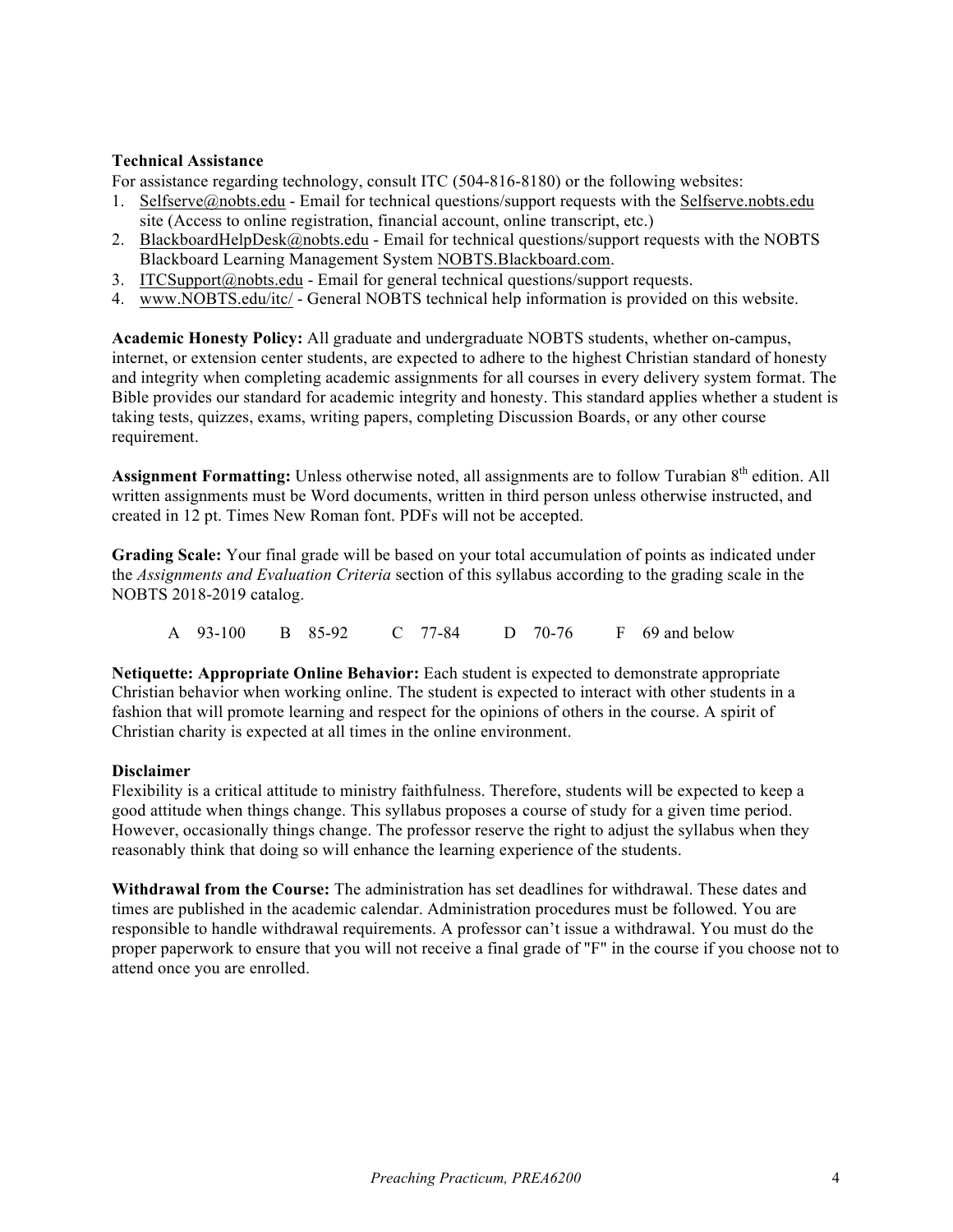## **Technical Assistance**

For assistance regarding technology, consult ITC (504-816-8180) or the following websites:

- 1. Selfserve@nobts.edu Email for technical questions/support requests with the Selfserve.nobts.edu site (Access to online registration, financial account, online transcript, etc.)
- 2. BlackboardHelpDesk@nobts.edu Email for technical questions/support requests with the NOBTS Blackboard Learning Management System NOBTS.Blackboard.com.
- 3. ITCSupport@nobts.edu Email for general technical questions/support requests.
- 4. www.NOBTS.edu/itc/ General NOBTS technical help information is provided on this website.

**Academic Honesty Policy:** All graduate and undergraduate NOBTS students, whether on-campus, internet, or extension center students, are expected to adhere to the highest Christian standard of honesty and integrity when completing academic assignments for all courses in every delivery system format. The Bible provides our standard for academic integrity and honesty. This standard applies whether a student is taking tests, quizzes, exams, writing papers, completing Discussion Boards, or any other course requirement.

**Assignment Formatting:** Unless otherwise noted, all assignments are to follow Turabian 8<sup>th</sup> edition. All written assignments must be Word documents, written in third person unless otherwise instructed, and created in 12 pt. Times New Roman font. PDFs will not be accepted.

**Grading Scale:** Your final grade will be based on your total accumulation of points as indicated under the *Assignments and Evaluation Criteria* section of this syllabus according to the grading scale in the NOBTS 2018-2019 catalog.

A 93-100 B 85-92 C 77-84 D 70-76 F 69 and below

**Netiquette: Appropriate Online Behavior:** Each student is expected to demonstrate appropriate Christian behavior when working online. The student is expected to interact with other students in a fashion that will promote learning and respect for the opinions of others in the course. A spirit of Christian charity is expected at all times in the online environment.

### **Disclaimer**

Flexibility is a critical attitude to ministry faithfulness. Therefore, students will be expected to keep a good attitude when things change. This syllabus proposes a course of study for a given time period. However, occasionally things change. The professor reserve the right to adjust the syllabus when they reasonably think that doing so will enhance the learning experience of the students.

**Withdrawal from the Course:** The administration has set deadlines for withdrawal. These dates and times are published in the academic calendar. Administration procedures must be followed. You are responsible to handle withdrawal requirements. A professor can't issue a withdrawal. You must do the proper paperwork to ensure that you will not receive a final grade of "F" in the course if you choose not to attend once you are enrolled.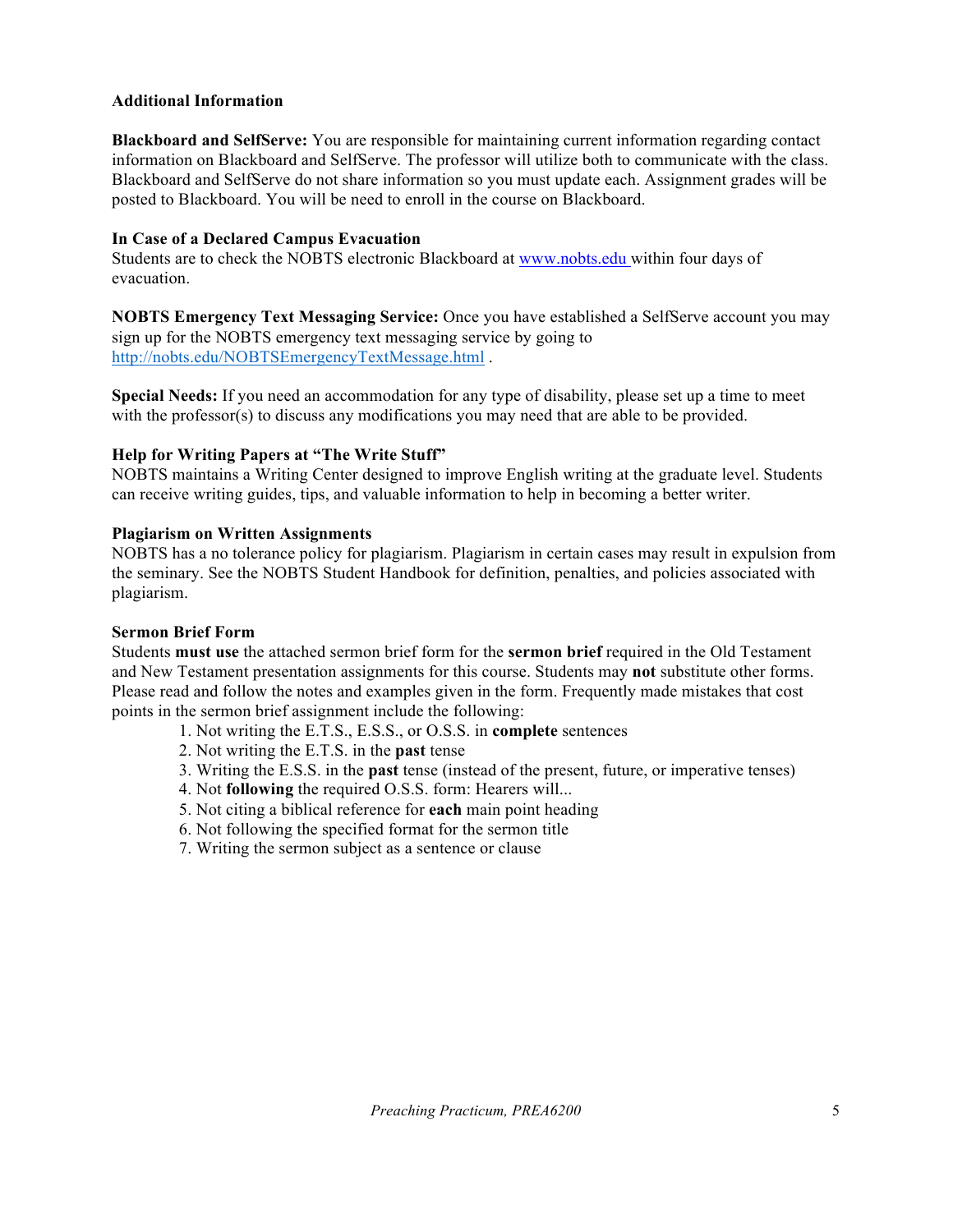# **Additional Information**

**Blackboard and SelfServe:** You are responsible for maintaining current information regarding contact information on Blackboard and SelfServe. The professor will utilize both to communicate with the class. Blackboard and SelfServe do not share information so you must update each. Assignment grades will be posted to Blackboard. You will be need to enroll in the course on Blackboard.

# **In Case of a Declared Campus Evacuation**

Students are to check the NOBTS electronic Blackboard at www.nobts.edu within four days of evacuation.

**NOBTS Emergency Text Messaging Service:** Once you have established a SelfServe account you may sign up for the NOBTS emergency text messaging service by going to http://nobts.edu/NOBTSEmergencyTextMessage.html .

**Special Needs:** If you need an accommodation for any type of disability, please set up a time to meet with the professor(s) to discuss any modifications you may need that are able to be provided.

# **Help for Writing Papers at "The Write Stuff"**

NOBTS maintains a Writing Center designed to improve English writing at the graduate level. Students can receive writing guides, tips, and valuable information to help in becoming a better writer.

# **Plagiarism on Written Assignments**

NOBTS has a no tolerance policy for plagiarism. Plagiarism in certain cases may result in expulsion from the seminary. See the NOBTS Student Handbook for definition, penalties, and policies associated with plagiarism.

## **Sermon Brief Form**

Students **must use** the attached sermon brief form for the **sermon brief** required in the Old Testament and New Testament presentation assignments for this course. Students may **not** substitute other forms. Please read and follow the notes and examples given in the form. Frequently made mistakes that cost points in the sermon brief assignment include the following:

- 1. Not writing the E.T.S., E.S.S., or O.S.S. in **complete** sentences
- 2. Not writing the E.T.S. in the **past** tense
- 3. Writing the E.S.S. in the **past** tense (instead of the present, future, or imperative tenses)
- 4. Not **following** the required O.S.S. form: Hearers will...
- 5. Not citing a biblical reference for **each** main point heading
- 6. Not following the specified format for the sermon title
- 7. Writing the sermon subject as a sentence or clause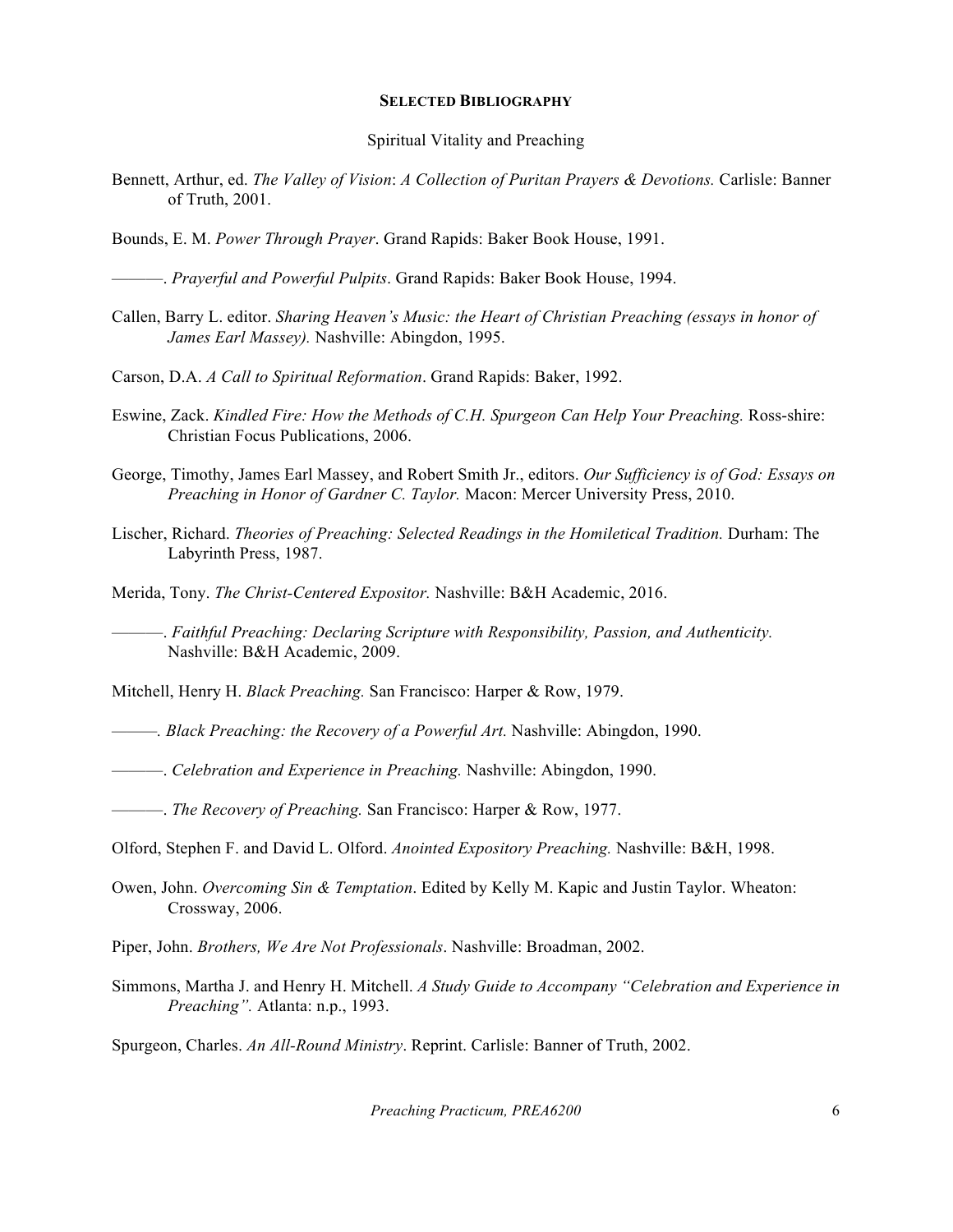#### **SELECTED BIBLIOGRAPHY**

#### Spiritual Vitality and Preaching

- Bennett, Arthur, ed. *The Valley of Vision*: *A Collection of Puritan Prayers & Devotions.* Carlisle: Banner of Truth, 2001.
- Bounds, E. M. *Power Through Prayer*. Grand Rapids: Baker Book House, 1991.

———. *Prayerful and Powerful Pulpits*. Grand Rapids: Baker Book House, 1994.

- Callen, Barry L. editor. *Sharing Heaven's Music: the Heart of Christian Preaching (essays in honor of James Earl Massey).* Nashville: Abingdon, 1995.
- Carson, D.A. *A Call to Spiritual Reformation*. Grand Rapids: Baker, 1992.
- Eswine, Zack. *Kindled Fire: How the Methods of C.H. Spurgeon Can Help Your Preaching.* Ross-shire: Christian Focus Publications, 2006.
- George, Timothy, James Earl Massey, and Robert Smith Jr., editors. *Our Sufficiency is of God: Essays on Preaching in Honor of Gardner C. Taylor.* Macon: Mercer University Press, 2010.
- Lischer, Richard. *Theories of Preaching: Selected Readings in the Homiletical Tradition.* Durham: The Labyrinth Press, 1987.
- Merida, Tony. *The Christ-Centered Expositor.* Nashville: B&H Academic, 2016.

———. *Faithful Preaching: Declaring Scripture with Responsibility, Passion, and Authenticity.* Nashville: B&H Academic, 2009.

Mitchell, Henry H. *Black Preaching.* San Francisco: Harper & Row, 1979.

- *———. Black Preaching: the Recovery of a Powerful Art.* Nashville: Abingdon, 1990.
- ———. *Celebration and Experience in Preaching.* Nashville: Abingdon, 1990.

———. *The Recovery of Preaching.* San Francisco: Harper & Row, 1977.

- Olford, Stephen F. and David L. Olford. *Anointed Expository Preaching.* Nashville: B&H, 1998.
- Owen, John. *Overcoming Sin & Temptation*. Edited by Kelly M. Kapic and Justin Taylor. Wheaton: Crossway, 2006.
- Piper, John. *Brothers, We Are Not Professionals*. Nashville: Broadman, 2002.
- Simmons, Martha J. and Henry H. Mitchell. *A Study Guide to Accompany "Celebration and Experience in Preaching".* Atlanta: n.p., 1993.

Spurgeon, Charles. *An All-Round Ministry*. Reprint. Carlisle: Banner of Truth, 2002.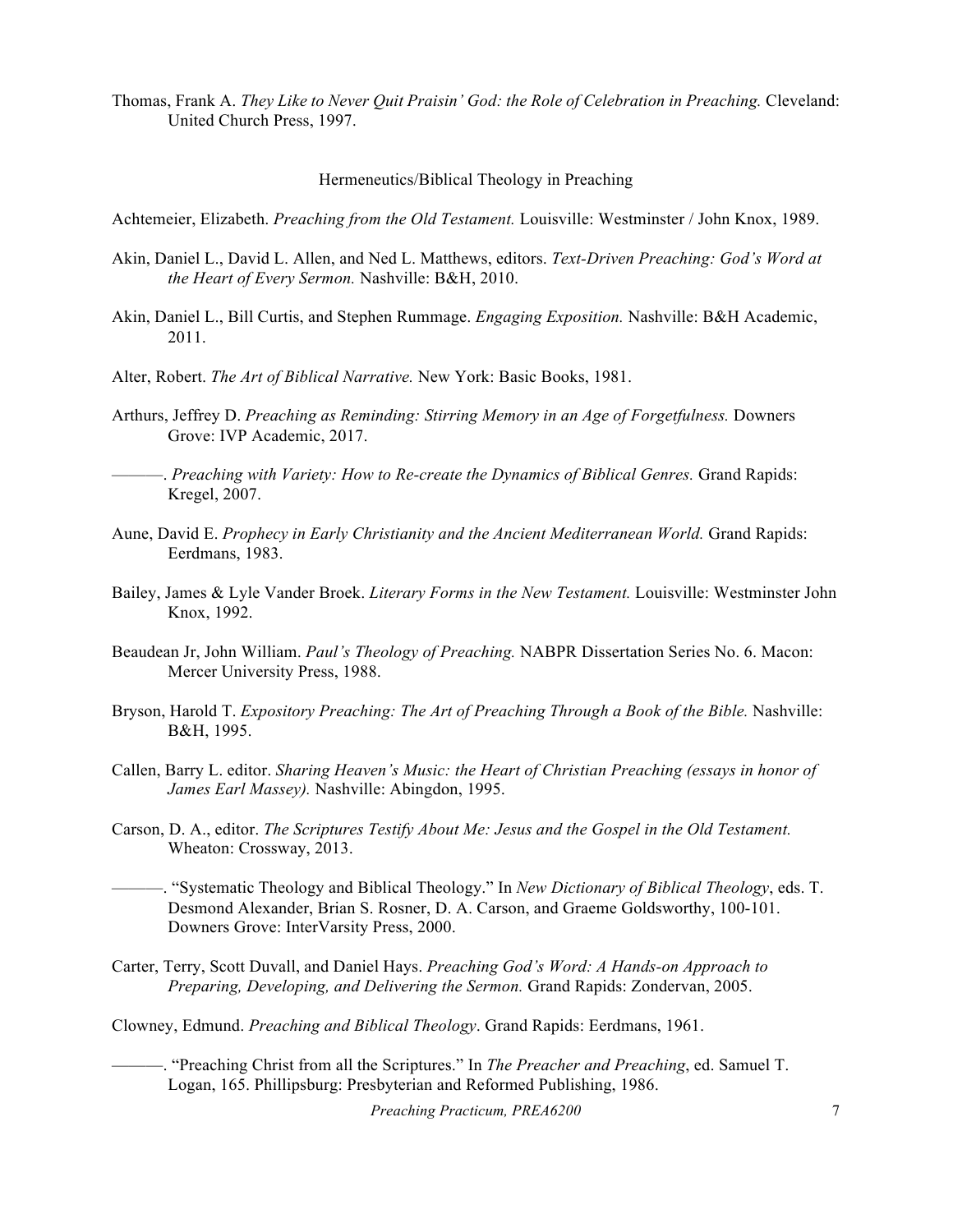Thomas, Frank A. *They Like to Never Quit Praisin' God: the Role of Celebration in Preaching.* Cleveland: United Church Press, 1997.

#### Hermeneutics/Biblical Theology in Preaching

Achtemeier, Elizabeth. *Preaching from the Old Testament.* Louisville: Westminster / John Knox, 1989.

- Akin, Daniel L., David L. Allen, and Ned L. Matthews, editors. *Text-Driven Preaching: God's Word at the Heart of Every Sermon.* Nashville: B&H, 2010.
- Akin, Daniel L., Bill Curtis, and Stephen Rummage. *Engaging Exposition.* Nashville: B&H Academic, 2011.
- Alter, Robert. *The Art of Biblical Narrative.* New York: Basic Books, 1981.
- Arthurs, Jeffrey D. *Preaching as Reminding: Stirring Memory in an Age of Forgetfulness.* Downers Grove: IVP Academic, 2017.
- ———. *Preaching with Variety: How to Re-create the Dynamics of Biblical Genres.* Grand Rapids: Kregel, 2007.
- Aune, David E. *Prophecy in Early Christianity and the Ancient Mediterranean World.* Grand Rapids: Eerdmans, 1983.
- Bailey, James & Lyle Vander Broek. *Literary Forms in the New Testament.* Louisville: Westminster John Knox, 1992.
- Beaudean Jr, John William. *Paul's Theology of Preaching.* NABPR Dissertation Series No. 6. Macon: Mercer University Press, 1988.
- Bryson, Harold T. *Expository Preaching: The Art of Preaching Through a Book of the Bible.* Nashville: B&H, 1995.
- Callen, Barry L. editor. *Sharing Heaven's Music: the Heart of Christian Preaching (essays in honor of James Earl Massey).* Nashville: Abingdon, 1995.
- Carson, D. A., editor. *The Scriptures Testify About Me: Jesus and the Gospel in the Old Testament.*  Wheaton: Crossway, 2013.
- ———. "Systematic Theology and Biblical Theology." In *New Dictionary of Biblical Theology*, eds. T. Desmond Alexander, Brian S. Rosner, D. A. Carson, and Graeme Goldsworthy, 100-101. Downers Grove: InterVarsity Press, 2000.
- Carter, Terry, Scott Duvall, and Daniel Hays. *Preaching God's Word: A Hands-on Approach to Preparing, Developing, and Delivering the Sermon.* Grand Rapids: Zondervan, 2005.
- Clowney, Edmund. *Preaching and Biblical Theology*. Grand Rapids: Eerdmans, 1961.
	- ———. "Preaching Christ from all the Scriptures." In *The Preacher and Preaching*, ed. Samuel T. Logan, 165. Phillipsburg: Presbyterian and Reformed Publishing, 1986.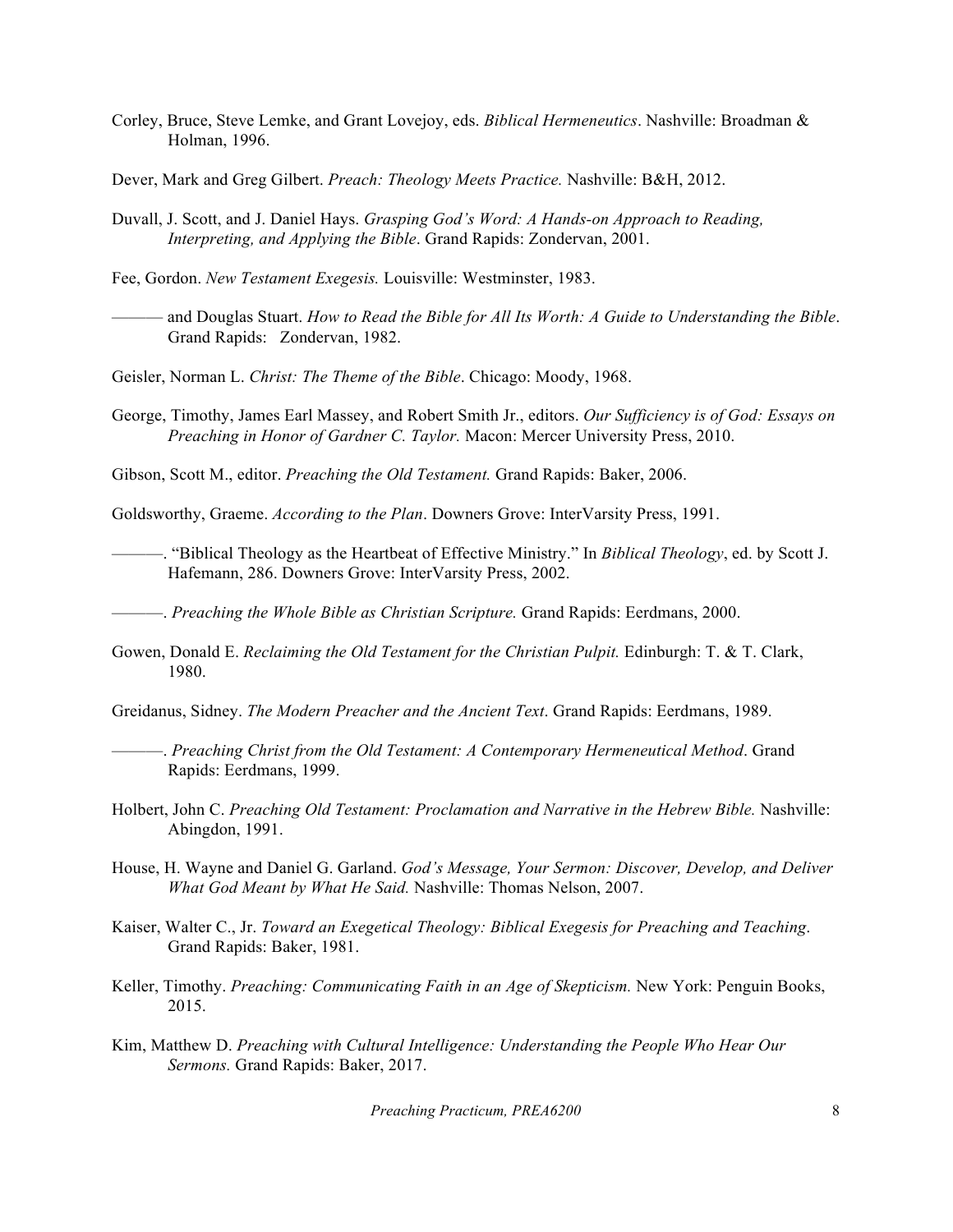- Corley, Bruce, Steve Lemke, and Grant Lovejoy, eds. *Biblical Hermeneutics*. Nashville: Broadman & Holman, 1996.
- Dever, Mark and Greg Gilbert. *Preach: Theology Meets Practice.* Nashville: B&H, 2012.
- Duvall, J. Scott, and J. Daniel Hays. *Grasping God's Word: A Hands-on Approach to Reading, Interpreting, and Applying the Bible*. Grand Rapids: Zondervan, 2001.
- Fee, Gordon. *New Testament Exegesis.* Louisville: Westminster, 1983.
	- ——— and Douglas Stuart. *How to Read the Bible for All Its Worth: A Guide to Understanding the Bible*. Grand Rapids: Zondervan, 1982.
- Geisler, Norman L. *Christ: The Theme of the Bible*. Chicago: Moody, 1968.
- George, Timothy, James Earl Massey, and Robert Smith Jr., editors. *Our Sufficiency is of God: Essays on Preaching in Honor of Gardner C. Taylor.* Macon: Mercer University Press, 2010.
- Gibson, Scott M., editor. *Preaching the Old Testament.* Grand Rapids: Baker, 2006.

Goldsworthy, Graeme. *According to the Plan*. Downers Grove: InterVarsity Press, 1991.

———. "Biblical Theology as the Heartbeat of Effective Ministry." In *Biblical Theology*, ed. by Scott J. Hafemann, 286. Downers Grove: InterVarsity Press, 2002.

———. *Preaching the Whole Bible as Christian Scripture.* Grand Rapids: Eerdmans, 2000.

- Gowen, Donald E. *Reclaiming the Old Testament for the Christian Pulpit.* Edinburgh: T. & T. Clark, 1980.
- Greidanus, Sidney. *The Modern Preacher and the Ancient Text*. Grand Rapids: Eerdmans, 1989.
- ———. *Preaching Christ from the Old Testament: A Contemporary Hermeneutical Method*. Grand Rapids: Eerdmans, 1999.
- Holbert, John C. *Preaching Old Testament: Proclamation and Narrative in the Hebrew Bible.* Nashville: Abingdon, 1991.
- House, H. Wayne and Daniel G. Garland. *God's Message, Your Sermon: Discover, Develop, and Deliver What God Meant by What He Said.* Nashville: Thomas Nelson, 2007.
- Kaiser, Walter C., Jr. *Toward an Exegetical Theology: Biblical Exegesis for Preaching and Teaching*. Grand Rapids: Baker, 1981.
- Keller, Timothy. *Preaching: Communicating Faith in an Age of Skepticism*. New York: Penguin Books, 2015.
- Kim, Matthew D. *Preaching with Cultural Intelligence: Understanding the People Who Hear Our Sermons.* Grand Rapids: Baker, 2017.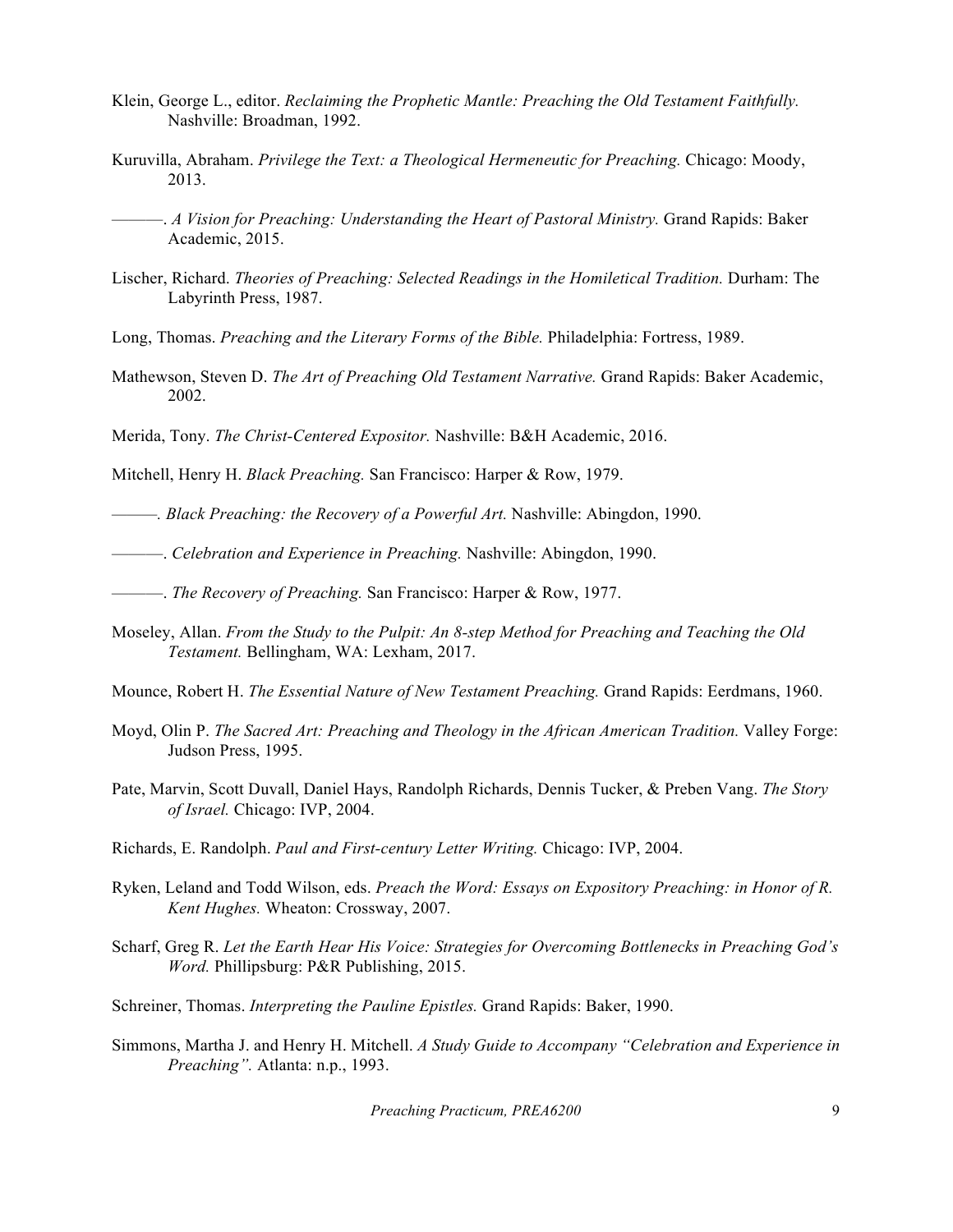- Klein, George L., editor. *Reclaiming the Prophetic Mantle: Preaching the Old Testament Faithfully.*  Nashville: Broadman, 1992.
- Kuruvilla, Abraham. *Privilege the Text: a Theological Hermeneutic for Preaching.* Chicago: Moody, 2013.
- ———. *A Vision for Preaching: Understanding the Heart of Pastoral Ministry.* Grand Rapids: Baker Academic, 2015.
- Lischer, Richard. *Theories of Preaching: Selected Readings in the Homiletical Tradition.* Durham: The Labyrinth Press, 1987.
- Long, Thomas. *Preaching and the Literary Forms of the Bible.* Philadelphia: Fortress, 1989.
- Mathewson, Steven D. *The Art of Preaching Old Testament Narrative.* Grand Rapids: Baker Academic, 2002.
- Merida, Tony. *The Christ-Centered Expositor.* Nashville: B&H Academic, 2016.
- Mitchell, Henry H. *Black Preaching.* San Francisco: Harper & Row, 1979.
- *———. Black Preaching: the Recovery of a Powerful Art.* Nashville: Abingdon, 1990.

———. *Celebration and Experience in Preaching.* Nashville: Abingdon, 1990.

- ———. *The Recovery of Preaching.* San Francisco: Harper & Row, 1977.
- Moseley, Allan. *From the Study to the Pulpit: An 8-step Method for Preaching and Teaching the Old Testament.* Bellingham, WA: Lexham, 2017.
- Mounce, Robert H. *The Essential Nature of New Testament Preaching.* Grand Rapids: Eerdmans, 1960.
- Moyd, Olin P. *The Sacred Art: Preaching and Theology in the African American Tradition.* Valley Forge: Judson Press, 1995.
- Pate, Marvin, Scott Duvall, Daniel Hays, Randolph Richards, Dennis Tucker, & Preben Vang. *The Story of Israel.* Chicago: IVP, 2004.
- Richards, E. Randolph. *Paul and First-century Letter Writing.* Chicago: IVP, 2004.
- Ryken, Leland and Todd Wilson, eds. *Preach the Word: Essays on Expository Preaching: in Honor of R. Kent Hughes.* Wheaton: Crossway, 2007.
- Scharf, Greg R. *Let the Earth Hear His Voice: Strategies for Overcoming Bottlenecks in Preaching God's Word.* Phillipsburg: P&R Publishing, 2015.
- Schreiner, Thomas. *Interpreting the Pauline Epistles.* Grand Rapids: Baker, 1990.
- Simmons, Martha J. and Henry H. Mitchell. *A Study Guide to Accompany "Celebration and Experience in Preaching".* Atlanta: n.p., 1993.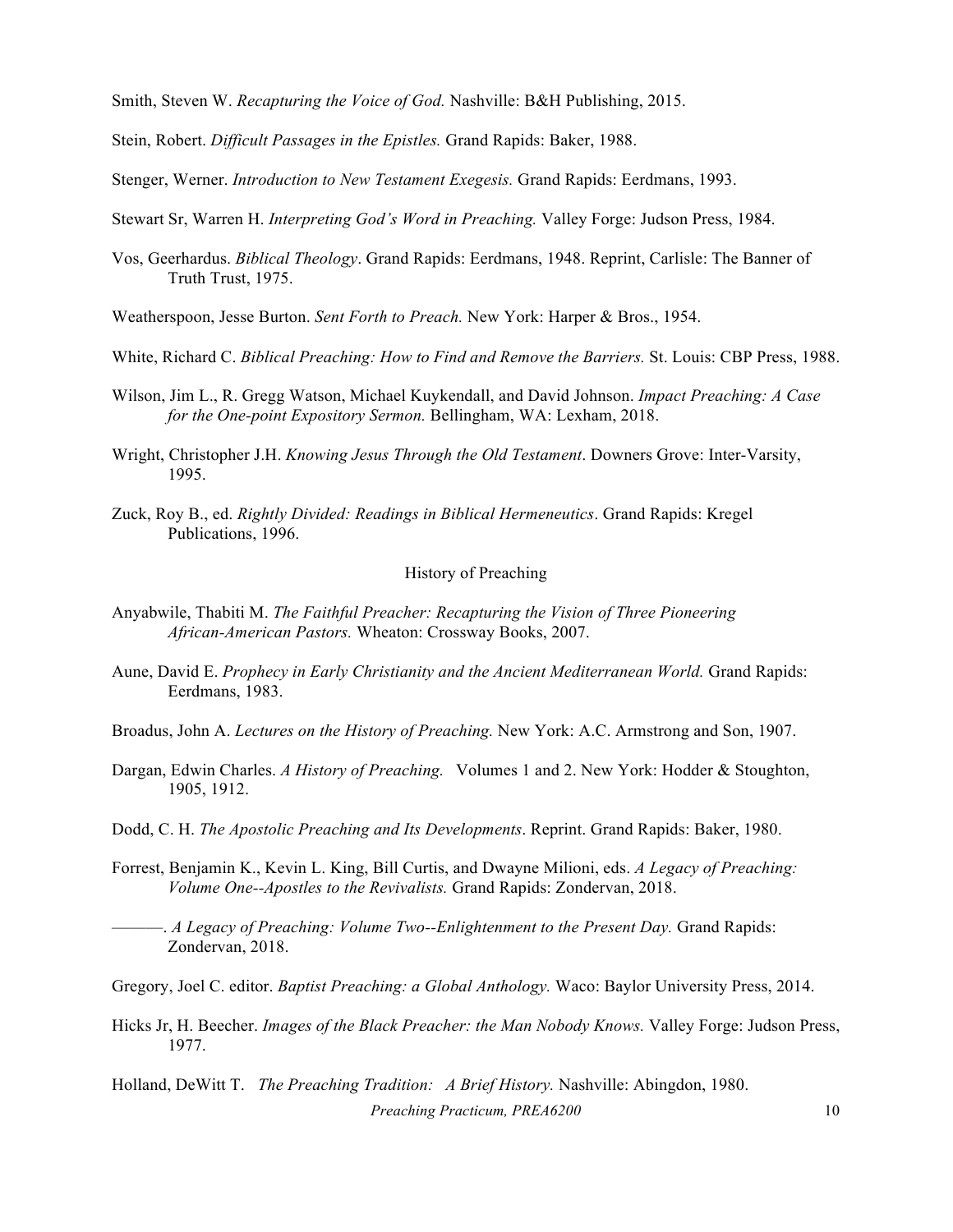Smith, Steven W. *Recapturing the Voice of God.* Nashville: B&H Publishing, 2015.

Stein, Robert. *Difficult Passages in the Epistles.* Grand Rapids: Baker, 1988.

Stenger, Werner. *Introduction to New Testament Exegesis.* Grand Rapids: Eerdmans, 1993.

Stewart Sr, Warren H. *Interpreting God's Word in Preaching.* Valley Forge: Judson Press, 1984.

Vos, Geerhardus. *Biblical Theology*. Grand Rapids: Eerdmans, 1948. Reprint, Carlisle: The Banner of Truth Trust, 1975.

Weatherspoon, Jesse Burton. *Sent Forth to Preach.* New York: Harper & Bros., 1954.

- White, Richard C. *Biblical Preaching: How to Find and Remove the Barriers.* St. Louis: CBP Press, 1988.
- Wilson, Jim L., R. Gregg Watson, Michael Kuykendall, and David Johnson. *Impact Preaching: A Case for the One-point Expository Sermon.* Bellingham, WA: Lexham, 2018.
- Wright, Christopher J.H. *Knowing Jesus Through the Old Testament*. Downers Grove: Inter-Varsity, 1995.
- Zuck, Roy B., ed. *Rightly Divided: Readings in Biblical Hermeneutics*. Grand Rapids: Kregel Publications, 1996.

## History of Preaching

- Anyabwile, Thabiti M. *The Faithful Preacher: Recapturing the Vision of Three Pioneering African-American Pastors.* Wheaton: Crossway Books, 2007.
- Aune, David E. *Prophecy in Early Christianity and the Ancient Mediterranean World.* Grand Rapids: Eerdmans, 1983.

Broadus, John A. *Lectures on the History of Preaching.* New York: A.C. Armstrong and Son, 1907.

- Dargan, Edwin Charles. *A History of Preaching.* Volumes 1 and 2. New York: Hodder & Stoughton, 1905, 1912.
- Dodd, C. H. *The Apostolic Preaching and Its Developments*. Reprint. Grand Rapids: Baker, 1980.
- Forrest, Benjamin K., Kevin L. King, Bill Curtis, and Dwayne Milioni, eds. *A Legacy of Preaching: Volume One--Apostles to the Revivalists.* Grand Rapids: Zondervan, 2018.

———. *A Legacy of Preaching: Volume Two--Enlightenment to the Present Day.* Grand Rapids: Zondervan, 2018.

Gregory, Joel C. editor. *Baptist Preaching: a Global Anthology.* Waco: Baylor University Press, 2014.

Hicks Jr, H. Beecher. *Images of the Black Preacher: the Man Nobody Knows.* Valley Forge: Judson Press, 1977.

*Preaching Practicum, PREA6200* 10 Holland, DeWitt T. *The Preaching Tradition: A Brief History.* Nashville: Abingdon, 1980.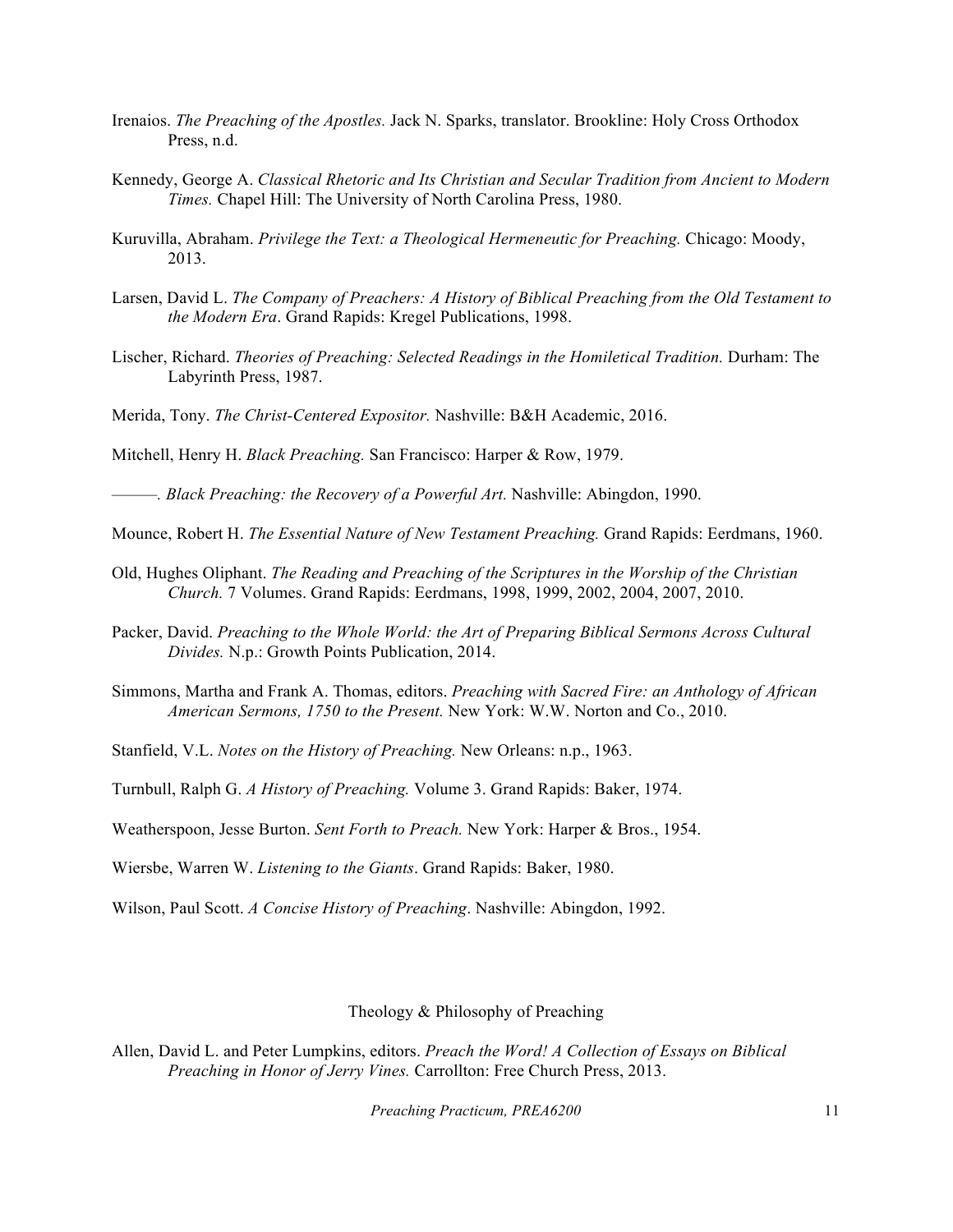- Irenaios. *The Preaching of the Apostles.* Jack N. Sparks, translator. Brookline: Holy Cross Orthodox Press, n.d.
- Kennedy, George A. *Classical Rhetoric and Its Christian and Secular Tradition from Ancient to Modern Times.* Chapel Hill: The University of North Carolina Press, 1980.
- Kuruvilla, Abraham. *Privilege the Text: a Theological Hermeneutic for Preaching.* Chicago: Moody, 2013.
- Larsen, David L. *The Company of Preachers: A History of Biblical Preaching from the Old Testament to the Modern Era*. Grand Rapids: Kregel Publications, 1998.
- Lischer, Richard. *Theories of Preaching: Selected Readings in the Homiletical Tradition.* Durham: The Labyrinth Press, 1987.
- Merida, Tony. *The Christ-Centered Expositor.* Nashville: B&H Academic, 2016.

Mitchell, Henry H. *Black Preaching.* San Francisco: Harper & Row, 1979.

*———. Black Preaching: the Recovery of a Powerful Art.* Nashville: Abingdon, 1990.

- Mounce, Robert H. *The Essential Nature of New Testament Preaching.* Grand Rapids: Eerdmans, 1960.
- Old, Hughes Oliphant. *The Reading and Preaching of the Scriptures in the Worship of the Christian Church.* 7 Volumes. Grand Rapids: Eerdmans, 1998, 1999, 2002, 2004, 2007, 2010.
- Packer, David. *Preaching to the Whole World: the Art of Preparing Biblical Sermons Across Cultural Divides.* N.p.: Growth Points Publication, 2014.
- Simmons, Martha and Frank A. Thomas, editors. *Preaching with Sacred Fire: an Anthology of African American Sermons, 1750 to the Present.* New York: W.W. Norton and Co., 2010.

Stanfield, V.L. *Notes on the History of Preaching.* New Orleans: n.p., 1963.

Turnbull, Ralph G. *A History of Preaching.* Volume 3. Grand Rapids: Baker, 1974.

Weatherspoon, Jesse Burton. *Sent Forth to Preach.* New York: Harper & Bros., 1954.

Wiersbe, Warren W. *Listening to the Giants*. Grand Rapids: Baker, 1980.

Wilson, Paul Scott. *A Concise History of Preaching*. Nashville: Abingdon, 1992.

#### Theology & Philosophy of Preaching

Allen, David L. and Peter Lumpkins, editors. *Preach the Word! A Collection of Essays on Biblical Preaching in Honor of Jerry Vines.* Carrollton: Free Church Press, 2013.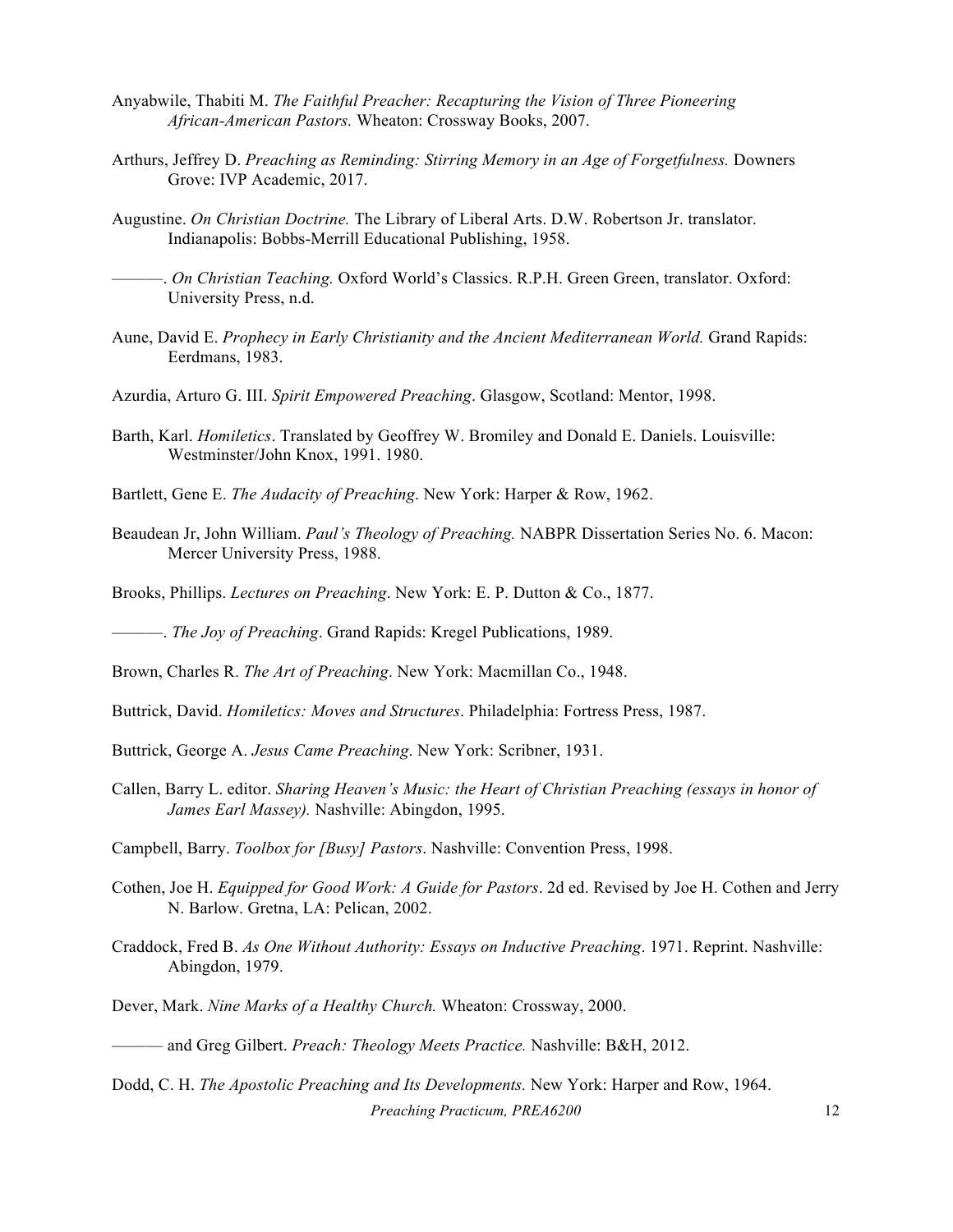- Anyabwile, Thabiti M. *The Faithful Preacher: Recapturing the Vision of Three Pioneering African-American Pastors.* Wheaton: Crossway Books, 2007.
- Arthurs, Jeffrey D. *Preaching as Reminding: Stirring Memory in an Age of Forgetfulness.* Downers Grove: IVP Academic, 2017.
- Augustine. *On Christian Doctrine.* The Library of Liberal Arts. D.W. Robertson Jr. translator. Indianapolis: Bobbs-Merrill Educational Publishing, 1958.
- ———. *On Christian Teaching.* Oxford World's Classics. R.P.H. Green Green, translator. Oxford: University Press, n.d.
- Aune, David E. *Prophecy in Early Christianity and the Ancient Mediterranean World.* Grand Rapids: Eerdmans, 1983.
- Azurdia, Arturo G. III. *Spirit Empowered Preaching*. Glasgow, Scotland: Mentor, 1998.
- Barth, Karl. *Homiletics*. Translated by Geoffrey W. Bromiley and Donald E. Daniels. Louisville: Westminster/John Knox, 1991. 1980.
- Bartlett, Gene E. *The Audacity of Preaching*. New York: Harper & Row, 1962.
- Beaudean Jr, John William. *Paul's Theology of Preaching.* NABPR Dissertation Series No. 6. Macon: Mercer University Press, 1988.
- Brooks, Phillips. *Lectures on Preaching*. New York: E. P. Dutton & Co., 1877.

———. *The Joy of Preaching*. Grand Rapids: Kregel Publications, 1989.

Brown, Charles R. *The Art of Preaching*. New York: Macmillan Co., 1948.

- Buttrick, David. *Homiletics: Moves and Structures*. Philadelphia: Fortress Press, 1987.
- Buttrick, George A. *Jesus Came Preaching*. New York: Scribner, 1931.
- Callen, Barry L. editor. *Sharing Heaven's Music: the Heart of Christian Preaching (essays in honor of James Earl Massey).* Nashville: Abingdon, 1995.
- Campbell, Barry. *Toolbox for [Busy] Pastors*. Nashville: Convention Press, 1998.
- Cothen, Joe H. *Equipped for Good Work: A Guide for Pastors*. 2d ed. Revised by Joe H. Cothen and Jerry N. Barlow. Gretna, LA: Pelican, 2002.
- Craddock, Fred B. *As One Without Authority: Essays on Inductive Preaching*. 1971. Reprint. Nashville: Abingdon, 1979.
- Dever, Mark. *Nine Marks of a Healthy Church.* Wheaton: Crossway, 2000.

*Preaching Practicum, PREA6200* 12 Dodd, C. H. *The Apostolic Preaching and Its Developments.* New York: Harper and Row, 1964.

<sup>———</sup> and Greg Gilbert. *Preach: Theology Meets Practice.* Nashville: B&H, 2012.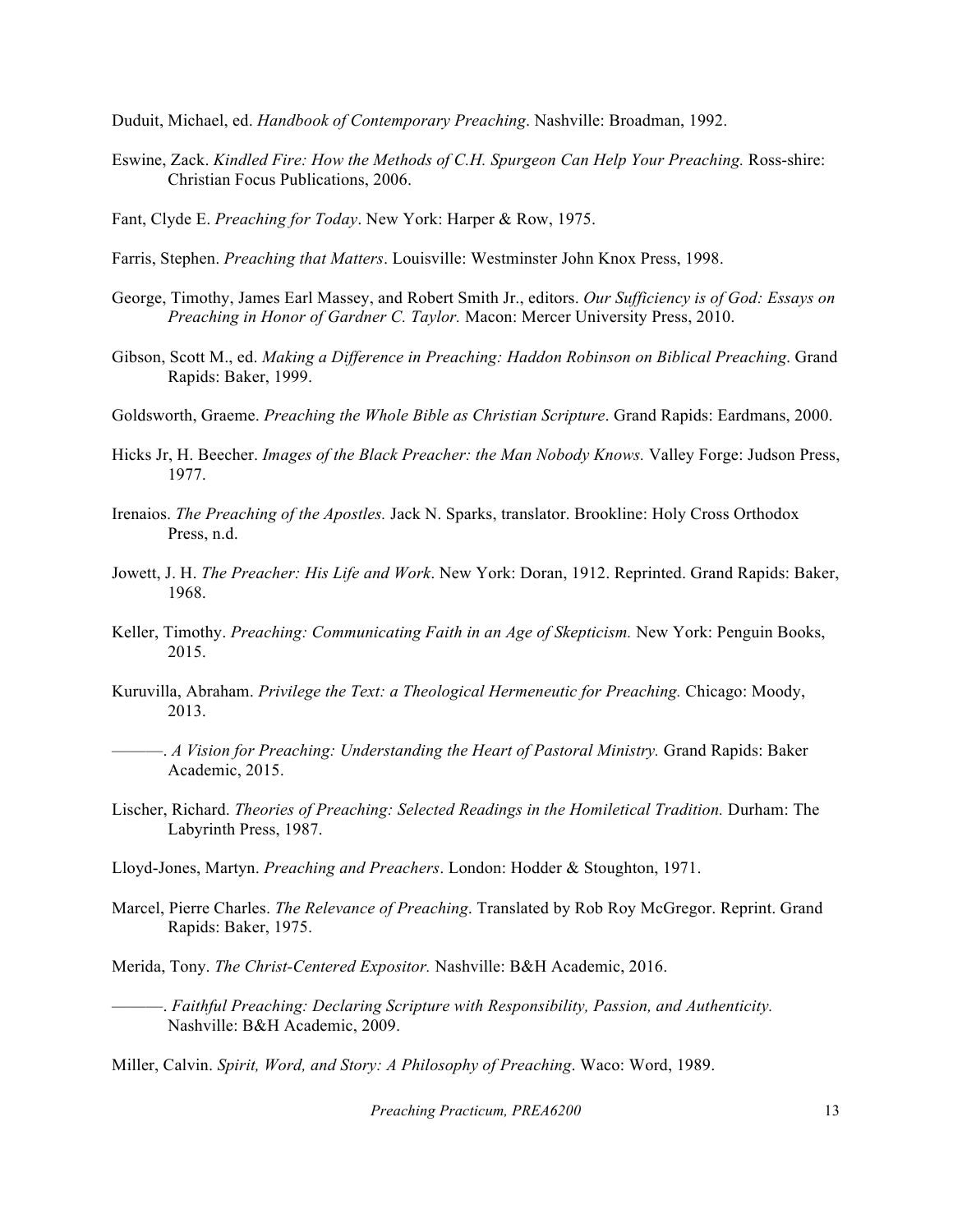Duduit, Michael, ed. *Handbook of Contemporary Preaching*. Nashville: Broadman, 1992.

- Eswine, Zack. *Kindled Fire: How the Methods of C.H. Spurgeon Can Help Your Preaching.* Ross-shire: Christian Focus Publications, 2006.
- Fant, Clyde E. *Preaching for Today*. New York: Harper & Row, 1975.

Farris, Stephen. *Preaching that Matters*. Louisville: Westminster John Knox Press, 1998.

- George, Timothy, James Earl Massey, and Robert Smith Jr., editors. *Our Sufficiency is of God: Essays on Preaching in Honor of Gardner C. Taylor.* Macon: Mercer University Press, 2010.
- Gibson, Scott M., ed. *Making a Difference in Preaching: Haddon Robinson on Biblical Preaching*. Grand Rapids: Baker, 1999.
- Goldsworth, Graeme. *Preaching the Whole Bible as Christian Scripture*. Grand Rapids: Eardmans, 2000.
- Hicks Jr, H. Beecher. *Images of the Black Preacher: the Man Nobody Knows.* Valley Forge: Judson Press, 1977.
- Irenaios. *The Preaching of the Apostles.* Jack N. Sparks, translator. Brookline: Holy Cross Orthodox Press, n.d.
- Jowett, J. H. *The Preacher: His Life and Work*. New York: Doran, 1912. Reprinted. Grand Rapids: Baker, 1968.
- Keller, Timothy. *Preaching: Communicating Faith in an Age of Skepticism.* New York: Penguin Books, 2015.
- Kuruvilla, Abraham. *Privilege the Text: a Theological Hermeneutic for Preaching.* Chicago: Moody, 2013.
- ———. *A Vision for Preaching: Understanding the Heart of Pastoral Ministry.* Grand Rapids: Baker Academic, 2015.
- Lischer, Richard. *Theories of Preaching: Selected Readings in the Homiletical Tradition.* Durham: The Labyrinth Press, 1987.
- Lloyd-Jones, Martyn. *Preaching and Preachers*. London: Hodder & Stoughton, 1971.
- Marcel, Pierre Charles. *The Relevance of Preaching*. Translated by Rob Roy McGregor. Reprint. Grand Rapids: Baker, 1975.
- Merida, Tony. *The Christ-Centered Expositor.* Nashville: B&H Academic, 2016.
- ———. *Faithful Preaching: Declaring Scripture with Responsibility, Passion, and Authenticity.* Nashville: B&H Academic, 2009.

Miller, Calvin. *Spirit, Word, and Story: A Philosophy of Preaching*. Waco: Word, 1989.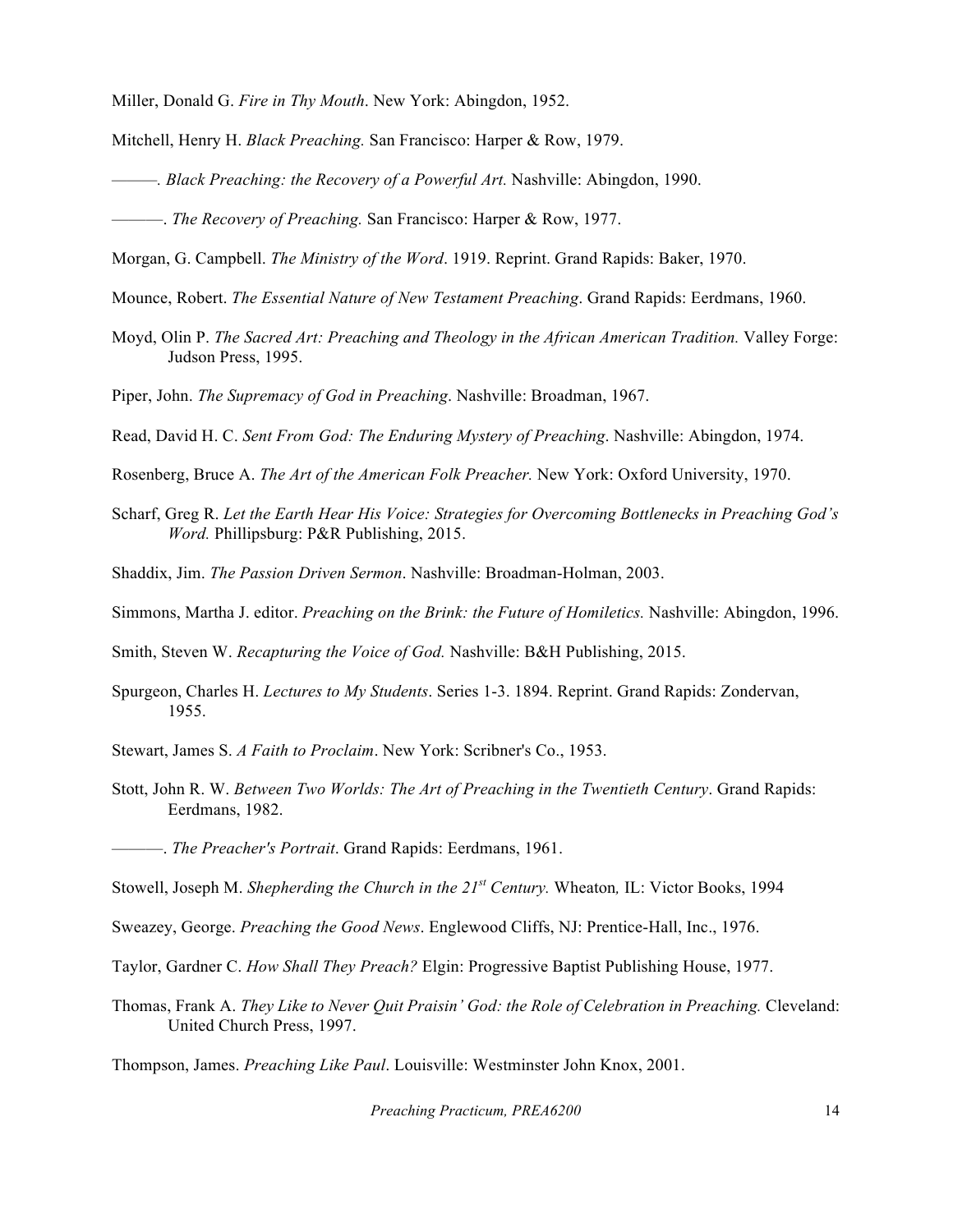Miller, Donald G. *Fire in Thy Mouth*. New York: Abingdon, 1952.

- Mitchell, Henry H. *Black Preaching.* San Francisco: Harper & Row, 1979.
- *———. Black Preaching: the Recovery of a Powerful Art.* Nashville: Abingdon, 1990.

———. *The Recovery of Preaching.* San Francisco: Harper & Row, 1977.

- Morgan, G. Campbell. *The Ministry of the Word*. 1919. Reprint. Grand Rapids: Baker, 1970.
- Mounce, Robert. *The Essential Nature of New Testament Preaching*. Grand Rapids: Eerdmans, 1960.
- Moyd, Olin P. *The Sacred Art: Preaching and Theology in the African American Tradition.* Valley Forge: Judson Press, 1995.
- Piper, John. *The Supremacy of God in Preaching*. Nashville: Broadman, 1967.
- Read, David H. C. *Sent From God: The Enduring Mystery of Preaching*. Nashville: Abingdon, 1974.
- Rosenberg, Bruce A. *The Art of the American Folk Preacher.* New York: Oxford University, 1970.
- Scharf, Greg R. *Let the Earth Hear His Voice: Strategies for Overcoming Bottlenecks in Preaching God's Word.* Phillipsburg: P&R Publishing, 2015.
- Shaddix, Jim. *The Passion Driven Sermon*. Nashville: Broadman-Holman, 2003.
- Simmons, Martha J. editor. *Preaching on the Brink: the Future of Homiletics.* Nashville: Abingdon, 1996.

Smith, Steven W. *Recapturing the Voice of God.* Nashville: B&H Publishing, 2015.

Spurgeon, Charles H. *Lectures to My Students*. Series 1-3. 1894. Reprint. Grand Rapids: Zondervan, 1955.

Stewart, James S. *A Faith to Proclaim*. New York: Scribner's Co., 1953.

Stott, John R. W. *Between Two Worlds: The Art of Preaching in the Twentieth Century*. Grand Rapids: Eerdmans, 1982.

———. *The Preacher's Portrait*. Grand Rapids: Eerdmans, 1961.

- Stowell, Joseph M. *Shepherding the Church in the 21st Century.* Wheaton*,* IL: Victor Books, 1994
- Sweazey, George. *Preaching the Good News*. Englewood Cliffs, NJ: Prentice-Hall, Inc., 1976.
- Taylor, Gardner C. *How Shall They Preach?* Elgin: Progressive Baptist Publishing House, 1977.
- Thomas, Frank A. *They Like to Never Quit Praisin' God: the Role of Celebration in Preaching.* Cleveland: United Church Press, 1997.

Thompson, James. *Preaching Like Paul*. Louisville: Westminster John Knox, 2001.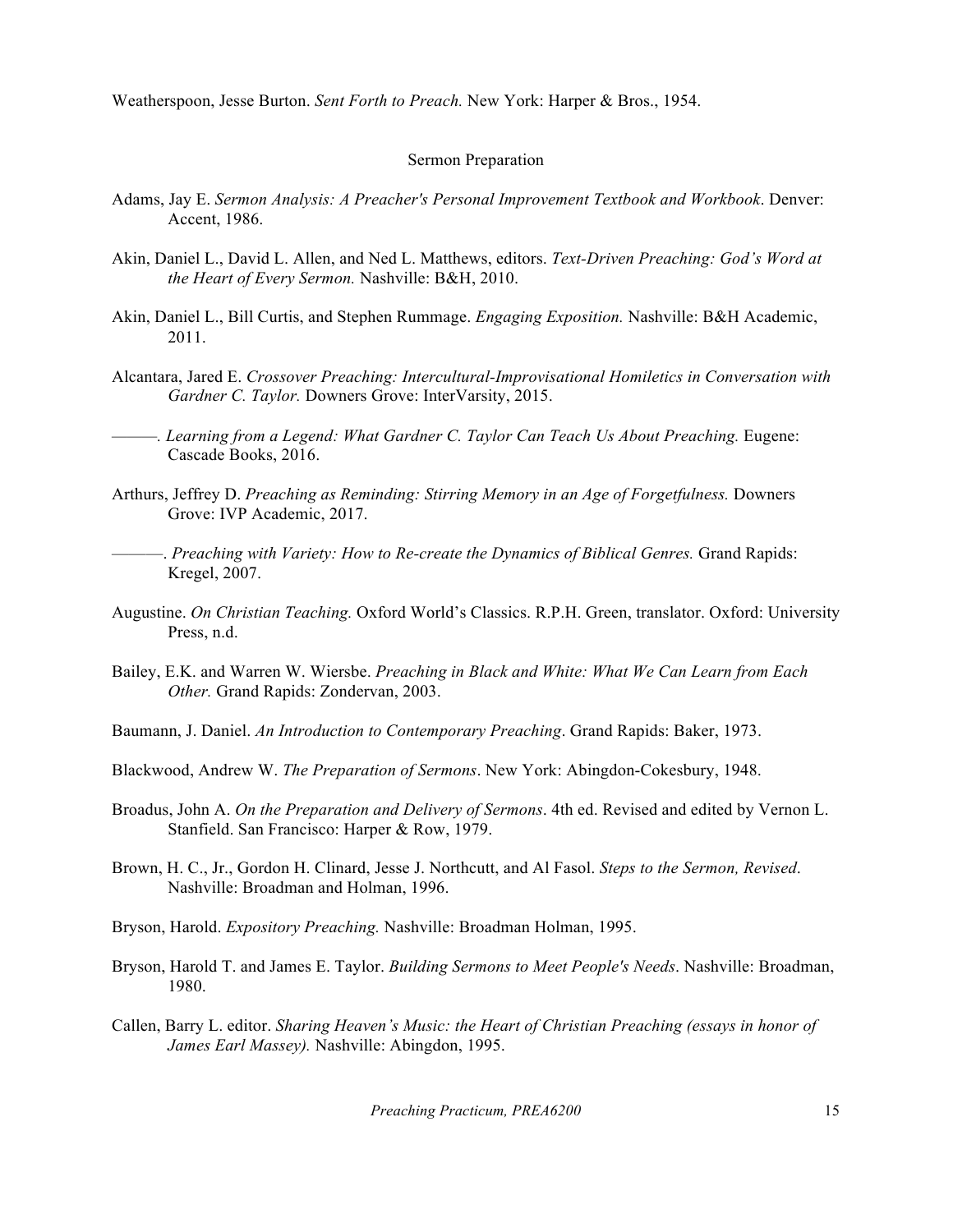Weatherspoon, Jesse Burton. *Sent Forth to Preach.* New York: Harper & Bros., 1954.

#### Sermon Preparation

- Adams, Jay E. *Sermon Analysis: A Preacher's Personal Improvement Textbook and Workbook*. Denver: Accent, 1986.
- Akin, Daniel L., David L. Allen, and Ned L. Matthews, editors. *Text-Driven Preaching: God's Word at the Heart of Every Sermon.* Nashville: B&H, 2010.
- Akin, Daniel L., Bill Curtis, and Stephen Rummage. *Engaging Exposition.* Nashville: B&H Academic, 2011.
- Alcantara, Jared E. *Crossover Preaching: Intercultural-Improvisational Homiletics in Conversation with Gardner C. Taylor.* Downers Grove: InterVarsity, 2015.
- *———. Learning from a Legend: What Gardner C. Taylor Can Teach Us About Preaching.* Eugene: Cascade Books, 2016.
- Arthurs, Jeffrey D. *Preaching as Reminding: Stirring Memory in an Age of Forgetfulness.* Downers Grove: IVP Academic, 2017.
- ———. *Preaching with Variety: How to Re-create the Dynamics of Biblical Genres.* Grand Rapids: Kregel, 2007.
- Augustine. *On Christian Teaching.* Oxford World's Classics. R.P.H. Green, translator. Oxford: University Press, n.d.
- Bailey, E.K. and Warren W. Wiersbe. *Preaching in Black and White: What We Can Learn from Each Other.* Grand Rapids: Zondervan, 2003.
- Baumann, J. Daniel. *An Introduction to Contemporary Preaching*. Grand Rapids: Baker, 1973.
- Blackwood, Andrew W. *The Preparation of Sermons*. New York: Abingdon-Cokesbury, 1948.
- Broadus, John A. *On the Preparation and Delivery of Sermons*. 4th ed. Revised and edited by Vernon L. Stanfield. San Francisco: Harper & Row, 1979.
- Brown, H. C., Jr., Gordon H. Clinard, Jesse J. Northcutt, and Al Fasol. *Steps to the Sermon, Revised*. Nashville: Broadman and Holman, 1996.
- Bryson, Harold. *Expository Preaching.* Nashville: Broadman Holman, 1995.
- Bryson, Harold T. and James E. Taylor. *Building Sermons to Meet People's Needs*. Nashville: Broadman, 1980.
- Callen, Barry L. editor. *Sharing Heaven's Music: the Heart of Christian Preaching (essays in honor of James Earl Massey).* Nashville: Abingdon, 1995.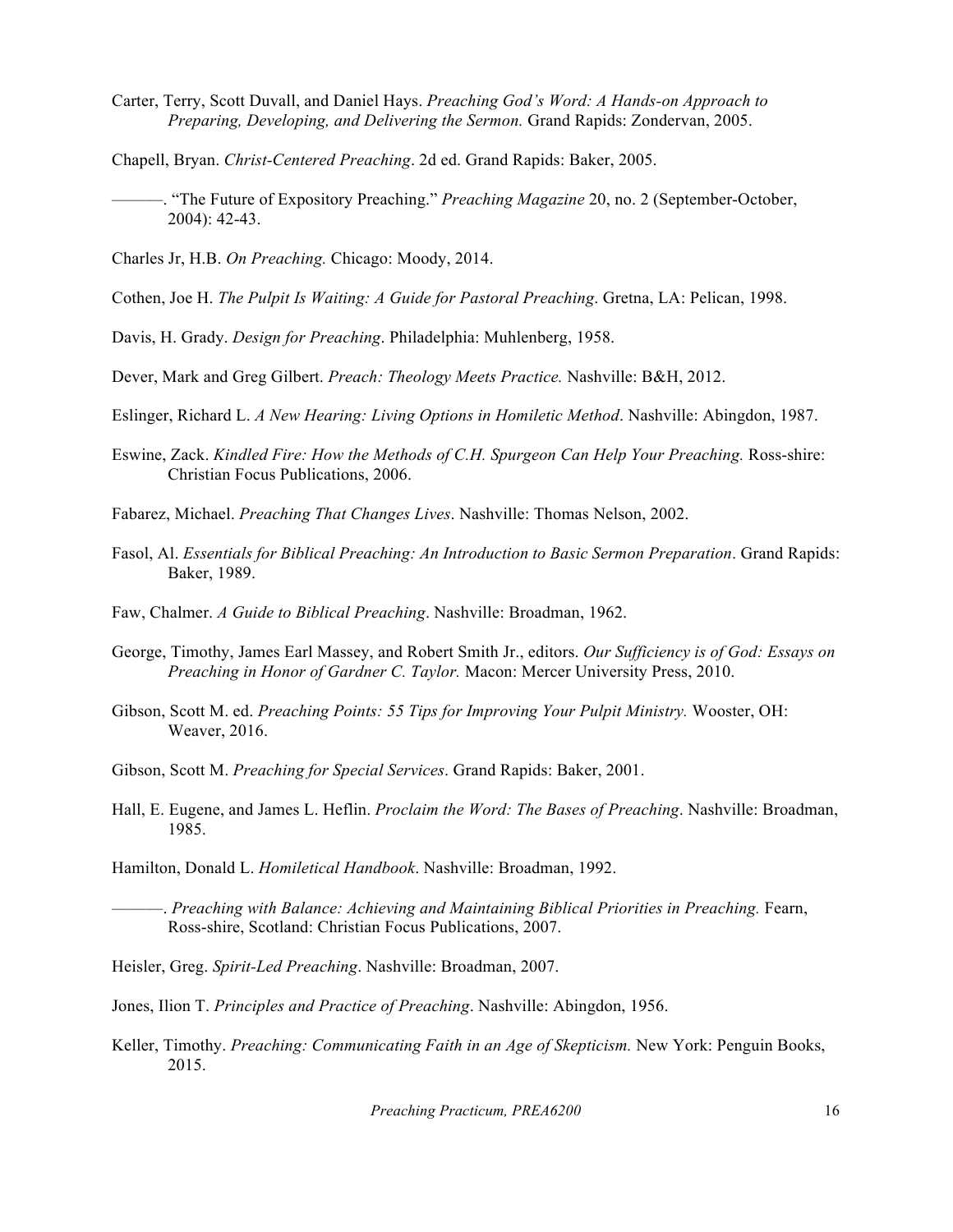- Carter, Terry, Scott Duvall, and Daniel Hays. *Preaching God's Word: A Hands-on Approach to Preparing, Developing, and Delivering the Sermon.* Grand Rapids: Zondervan, 2005.
- Chapell, Bryan. *Christ-Centered Preaching*. 2d ed. Grand Rapids: Baker, 2005.
- ———. "The Future of Expository Preaching." *Preaching Magazine* 20, no. 2 (September-October, 2004): 42-43.
- Charles Jr, H.B. *On Preaching.* Chicago: Moody, 2014.
- Cothen, Joe H. *The Pulpit Is Waiting: A Guide for Pastoral Preaching*. Gretna, LA: Pelican, 1998.
- Davis, H. Grady. *Design for Preaching*. Philadelphia: Muhlenberg, 1958.
- Dever, Mark and Greg Gilbert. *Preach: Theology Meets Practice.* Nashville: B&H, 2012.
- Eslinger, Richard L. *A New Hearing: Living Options in Homiletic Method*. Nashville: Abingdon, 1987.
- Eswine, Zack. *Kindled Fire: How the Methods of C.H. Spurgeon Can Help Your Preaching.* Ross-shire: Christian Focus Publications, 2006.
- Fabarez, Michael. *Preaching That Changes Lives*. Nashville: Thomas Nelson, 2002.
- Fasol, Al. *Essentials for Biblical Preaching: An Introduction to Basic Sermon Preparation*. Grand Rapids: Baker, 1989.
- Faw, Chalmer. *A Guide to Biblical Preaching*. Nashville: Broadman, 1962.
- George, Timothy, James Earl Massey, and Robert Smith Jr., editors. *Our Sufficiency is of God: Essays on Preaching in Honor of Gardner C. Taylor.* Macon: Mercer University Press, 2010.
- Gibson, Scott M. ed. *Preaching Points: 55 Tips for Improving Your Pulpit Ministry.* Wooster, OH: Weaver, 2016.
- Gibson, Scott M. *Preaching for Special Services*. Grand Rapids: Baker, 2001.
- Hall, E. Eugene, and James L. Heflin. *Proclaim the Word: The Bases of Preaching*. Nashville: Broadman, 1985.
- Hamilton, Donald L. *Homiletical Handbook*. Nashville: Broadman, 1992.
- ———. *Preaching with Balance: Achieving and Maintaining Biblical Priorities in Preaching.* Fearn, Ross-shire, Scotland: Christian Focus Publications, 2007.
- Heisler, Greg. *Spirit-Led Preaching*. Nashville: Broadman, 2007.
- Jones, Ilion T. *Principles and Practice of Preaching*. Nashville: Abingdon, 1956.
- Keller, Timothy. *Preaching: Communicating Faith in an Age of Skepticism.* New York: Penguin Books, 2015.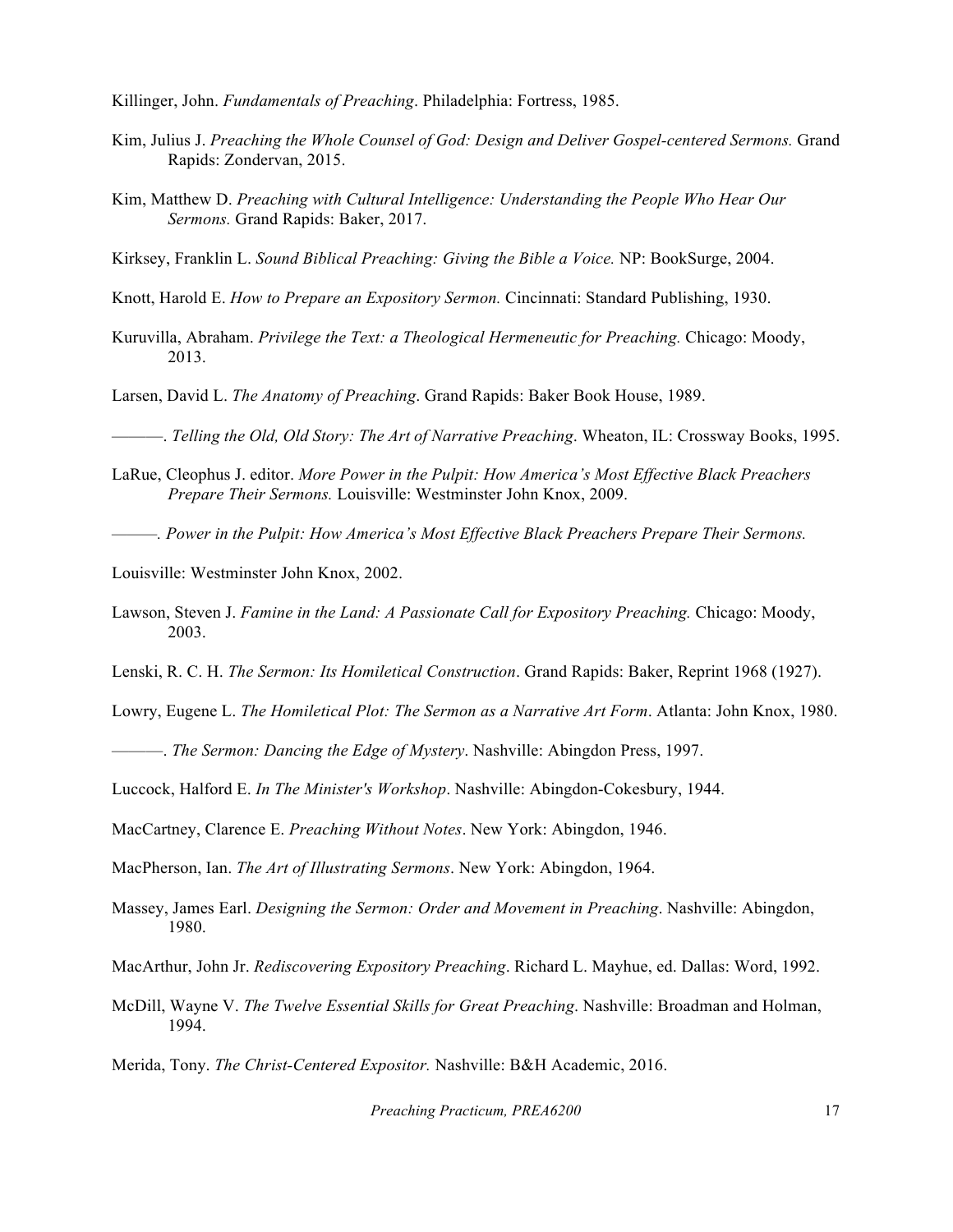Killinger, John. *Fundamentals of Preaching*. Philadelphia: Fortress, 1985.

- Kim, Julius J. *Preaching the Whole Counsel of God: Design and Deliver Gospel-centered Sermons.* Grand Rapids: Zondervan, 2015.
- Kim, Matthew D. *Preaching with Cultural Intelligence: Understanding the People Who Hear Our Sermons.* Grand Rapids: Baker, 2017.

Kirksey, Franklin L. *Sound Biblical Preaching: Giving the Bible a Voice.* NP: BookSurge, 2004.

Knott, Harold E. *How to Prepare an Expository Sermon.* Cincinnati: Standard Publishing, 1930.

Kuruvilla, Abraham. *Privilege the Text: a Theological Hermeneutic for Preaching.* Chicago: Moody, 2013.

Larsen, David L. *The Anatomy of Preaching*. Grand Rapids: Baker Book House, 1989.

———. *Telling the Old, Old Story: The Art of Narrative Preaching*. Wheaton, IL: Crossway Books, 1995.

- LaRue, Cleophus J. editor. *More Power in the Pulpit: How America's Most Effective Black Preachers Prepare Their Sermons.* Louisville: Westminster John Knox, 2009.
- *———. Power in the Pulpit: How America's Most Effective Black Preachers Prepare Their Sermons.*

Louisville: Westminster John Knox, 2002.

- Lawson, Steven J. *Famine in the Land: A Passionate Call for Expository Preaching.* Chicago: Moody, 2003.
- Lenski, R. C. H. *The Sermon: Its Homiletical Construction*. Grand Rapids: Baker, Reprint 1968 (1927).

Lowry, Eugene L. *The Homiletical Plot: The Sermon as a Narrative Art Form*. Atlanta: John Knox, 1980.

———. *The Sermon: Dancing the Edge of Mystery*. Nashville: Abingdon Press, 1997.

Luccock, Halford E. *In The Minister's Workshop*. Nashville: Abingdon-Cokesbury, 1944.

MacCartney, Clarence E. *Preaching Without Notes*. New York: Abingdon, 1946.

MacPherson, Ian. *The Art of Illustrating Sermons*. New York: Abingdon, 1964.

Massey, James Earl. *Designing the Sermon: Order and Movement in Preaching*. Nashville: Abingdon, 1980.

MacArthur, John Jr. *Rediscovering Expository Preaching*. Richard L. Mayhue, ed. Dallas: Word, 1992.

McDill, Wayne V. *The Twelve Essential Skills for Great Preaching*. Nashville: Broadman and Holman, 1994.

Merida, Tony. *The Christ-Centered Expositor.* Nashville: B&H Academic, 2016.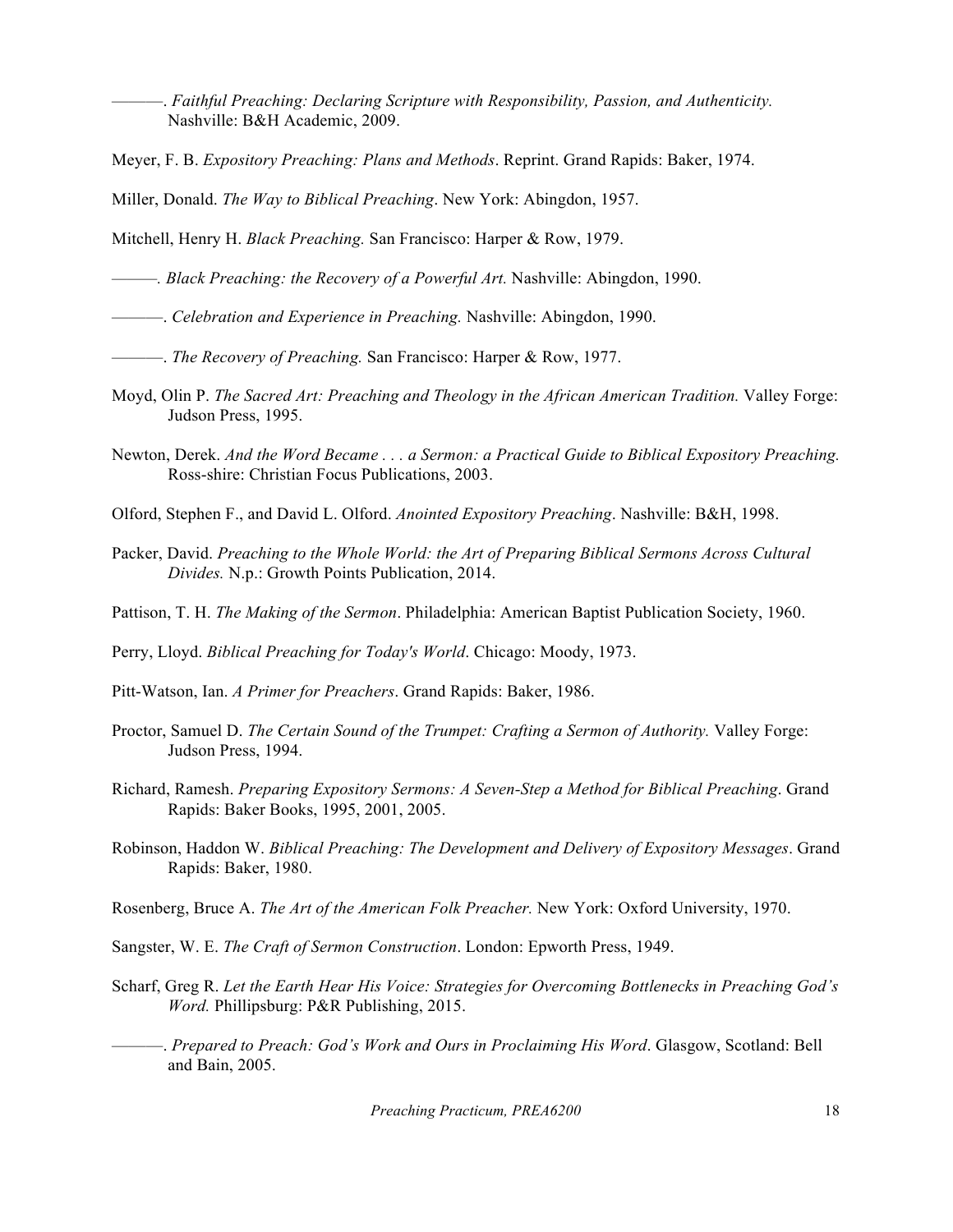———. *Faithful Preaching: Declaring Scripture with Responsibility, Passion, and Authenticity.* Nashville: B&H Academic, 2009.

Meyer, F. B. *Expository Preaching: Plans and Methods*. Reprint. Grand Rapids: Baker, 1974.

Miller, Donald. *The Way to Biblical Preaching*. New York: Abingdon, 1957.

Mitchell, Henry H. *Black Preaching.* San Francisco: Harper & Row, 1979.

*———. Black Preaching: the Recovery of a Powerful Art.* Nashville: Abingdon, 1990.

———. *Celebration and Experience in Preaching.* Nashville: Abingdon, 1990.

- ———. *The Recovery of Preaching.* San Francisco: Harper & Row, 1977.
- Moyd, Olin P. *The Sacred Art: Preaching and Theology in the African American Tradition.* Valley Forge: Judson Press, 1995.
- Newton, Derek. *And the Word Became . . . a Sermon: a Practical Guide to Biblical Expository Preaching.* Ross-shire: Christian Focus Publications, 2003.
- Olford, Stephen F., and David L. Olford. *Anointed Expository Preaching*. Nashville: B&H, 1998.
- Packer, David. *Preaching to the Whole World: the Art of Preparing Biblical Sermons Across Cultural Divides.* N.p.: Growth Points Publication, 2014.

Pattison, T. H. *The Making of the Sermon*. Philadelphia: American Baptist Publication Society, 1960.

Perry, Lloyd. *Biblical Preaching for Today's World*. Chicago: Moody, 1973.

Pitt-Watson, Ian. *A Primer for Preachers*. Grand Rapids: Baker, 1986.

- Proctor, Samuel D. *The Certain Sound of the Trumpet: Crafting a Sermon of Authority.* Valley Forge: Judson Press, 1994.
- Richard, Ramesh. *Preparing Expository Sermons: A Seven-Step a Method for Biblical Preaching*. Grand Rapids: Baker Books, 1995, 2001, 2005.
- Robinson, Haddon W. *Biblical Preaching: The Development and Delivery of Expository Messages*. Grand Rapids: Baker, 1980.

Rosenberg, Bruce A. *The Art of the American Folk Preacher.* New York: Oxford University, 1970.

- Sangster, W. E. *The Craft of Sermon Construction*. London: Epworth Press, 1949.
- Scharf, Greg R. *Let the Earth Hear His Voice: Strategies for Overcoming Bottlenecks in Preaching God's Word.* Phillipsburg: P&R Publishing, 2015.
- ———. *Prepared to Preach: God's Work and Ours in Proclaiming His Word*. Glasgow, Scotland: Bell and Bain, 2005.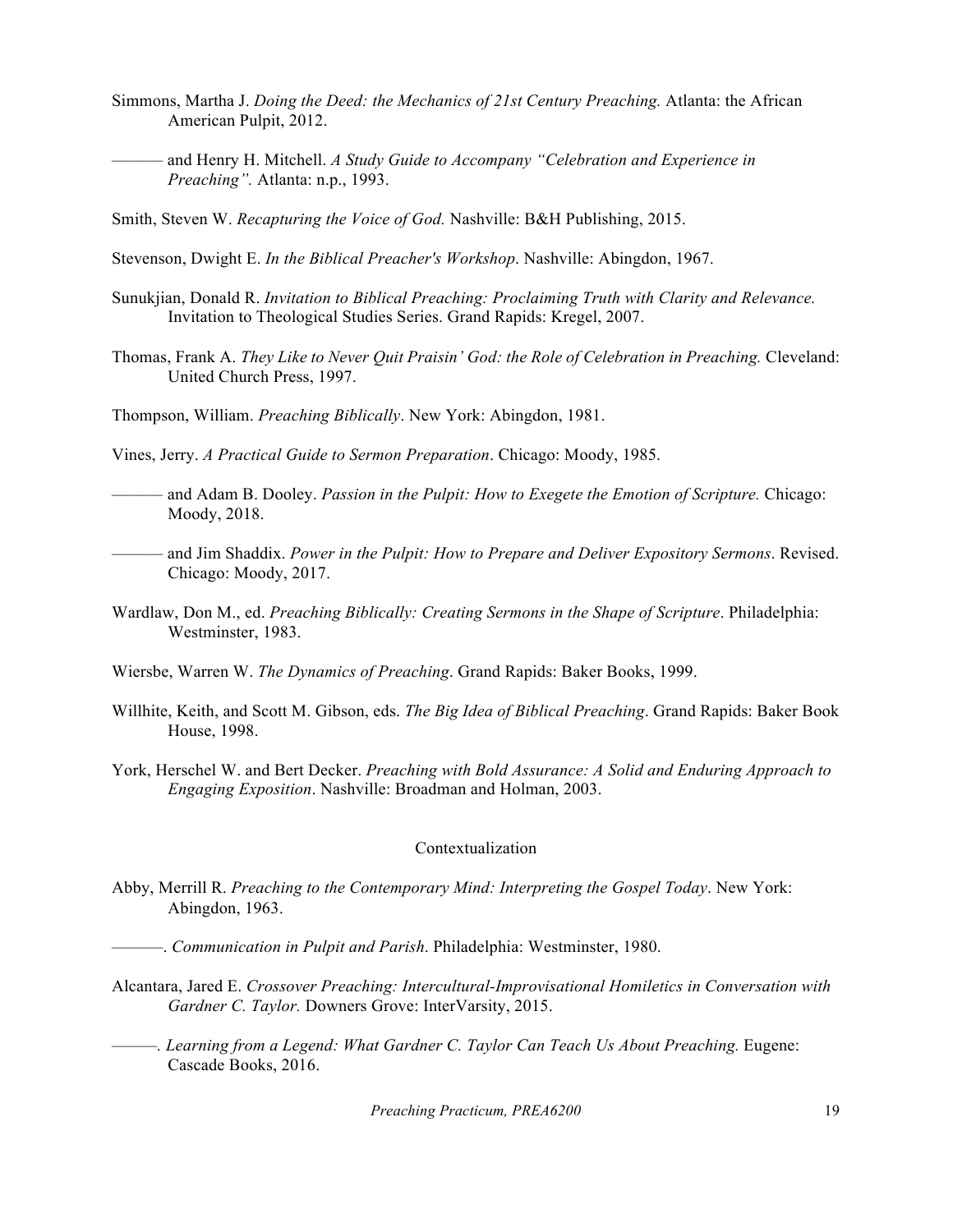- Simmons, Martha J. *Doing the Deed: the Mechanics of 21st Century Preaching.* Atlanta: the African American Pulpit, 2012.
- ——— and Henry H. Mitchell. *A Study Guide to Accompany "Celebration and Experience in Preaching".* Atlanta: n.p., 1993.
- Smith, Steven W. *Recapturing the Voice of God.* Nashville: B&H Publishing, 2015.
- Stevenson, Dwight E. *In the Biblical Preacher's Workshop*. Nashville: Abingdon, 1967.
- Sunukjian, Donald R. *Invitation to Biblical Preaching: Proclaiming Truth with Clarity and Relevance.*  Invitation to Theological Studies Series. Grand Rapids: Kregel, 2007.
- Thomas, Frank A. *They Like to Never Quit Praisin' God: the Role of Celebration in Preaching.* Cleveland: United Church Press, 1997.
- Thompson, William. *Preaching Biblically*. New York: Abingdon, 1981.
- Vines, Jerry. *A Practical Guide to Sermon Preparation*. Chicago: Moody, 1985.
- ——— and Adam B. Dooley. *Passion in the Pulpit: How to Exegete the Emotion of Scripture.* Chicago: Moody, 2018.
- ——— and Jim Shaddix. *Power in the Pulpit: How to Prepare and Deliver Expository Sermons*. Revised. Chicago: Moody, 2017.
- Wardlaw, Don M., ed. *Preaching Biblically: Creating Sermons in the Shape of Scripture*. Philadelphia: Westminster, 1983.
- Wiersbe, Warren W. *The Dynamics of Preaching*. Grand Rapids: Baker Books, 1999.
- Willhite, Keith, and Scott M. Gibson, eds. *The Big Idea of Biblical Preaching*. Grand Rapids: Baker Book House, 1998.
- York, Herschel W. and Bert Decker. *Preaching with Bold Assurance: A Solid and Enduring Approach to Engaging Exposition*. Nashville: Broadman and Holman, 2003.

### Contextualization

- Abby, Merrill R. *Preaching to the Contemporary Mind: Interpreting the Gospel Today*. New York: Abingdon, 1963.
	- ———. *Communication in Pulpit and Parish*. Philadelphia: Westminster, 1980.
- Alcantara, Jared E. *Crossover Preaching: Intercultural-Improvisational Homiletics in Conversation with Gardner C. Taylor.* Downers Grove: InterVarsity, 2015.
- *——. Learning from a Legend: What Gardner C. Taylor Can Teach Us About Preaching. Eugene:* Cascade Books, 2016.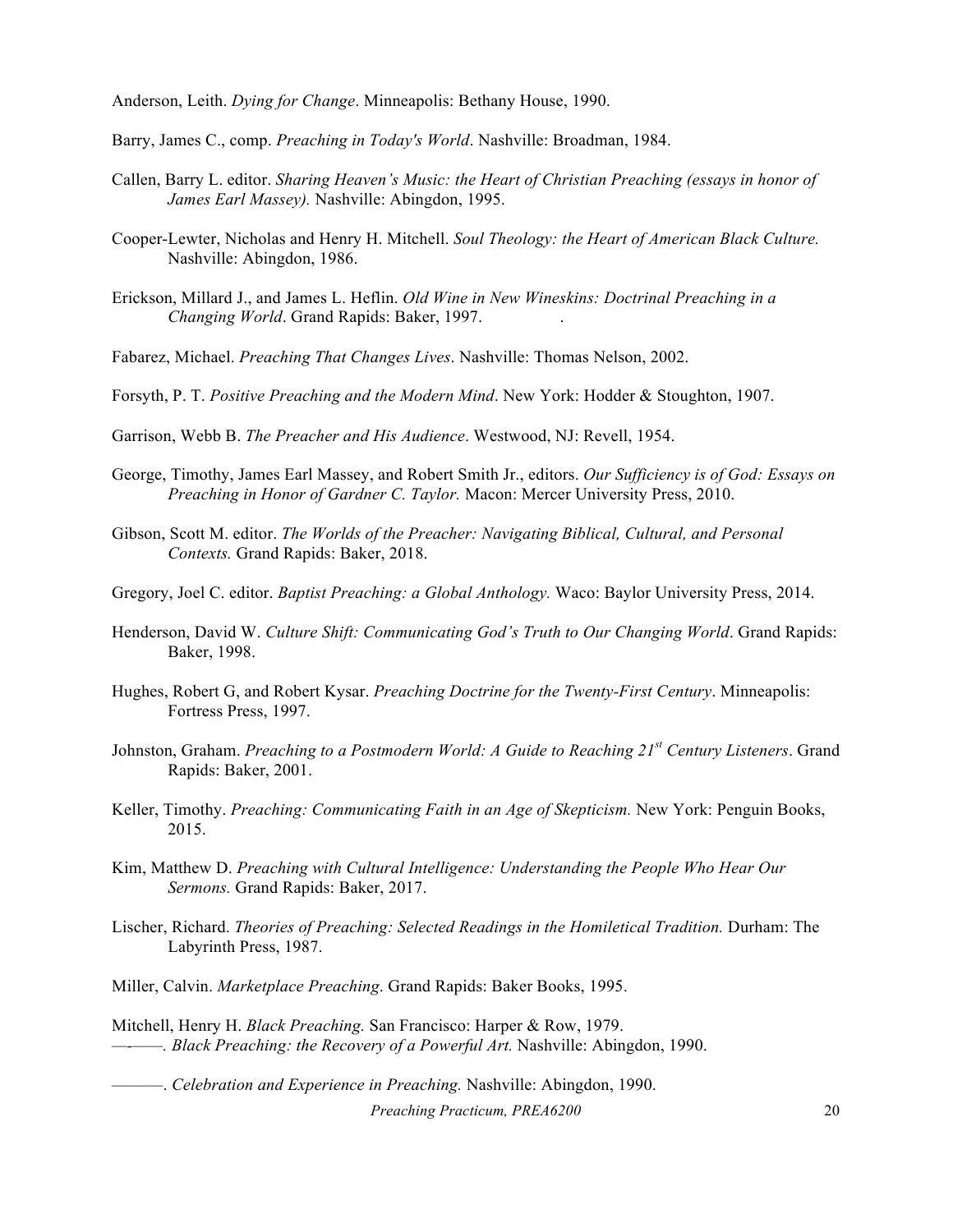Anderson, Leith. *Dying for Change*. Minneapolis: Bethany House, 1990.

Barry, James C., comp. *Preaching in Today's World*. Nashville: Broadman, 1984.

- Callen, Barry L. editor. *Sharing Heaven's Music: the Heart of Christian Preaching (essays in honor of James Earl Massey).* Nashville: Abingdon, 1995.
- Cooper-Lewter, Nicholas and Henry H. Mitchell. *Soul Theology: the Heart of American Black Culture.*  Nashville: Abingdon, 1986.
- Erickson, Millard J., and James L. Heflin. *Old Wine in New Wineskins: Doctrinal Preaching in a Changing World*. Grand Rapids: Baker, 1997. .
- Fabarez, Michael. *Preaching That Changes Lives*. Nashville: Thomas Nelson, 2002.
- Forsyth, P. T. *Positive Preaching and the Modern Mind*. New York: Hodder & Stoughton, 1907.
- Garrison, Webb B. *The Preacher and His Audience*. Westwood, NJ: Revell, 1954.
- George, Timothy, James Earl Massey, and Robert Smith Jr., editors. *Our Sufficiency is of God: Essays on Preaching in Honor of Gardner C. Taylor.* Macon: Mercer University Press, 2010.
- Gibson, Scott M. editor. *The Worlds of the Preacher: Navigating Biblical, Cultural, and Personal Contexts.* Grand Rapids: Baker, 2018.
- Gregory, Joel C. editor. *Baptist Preaching: a Global Anthology.* Waco: Baylor University Press, 2014.
- Henderson, David W. Culture Shift: Communicating God's Truth to Our Changing World. Grand Rapids: Baker, 1998.
- Hughes, Robert G, and Robert Kysar. *Preaching Doctrine for the Twenty-First Century*. Minneapolis: Fortress Press, 1997.
- Johnston, Graham. *Preaching to a Postmodern World: A Guide to Reaching 21st Century Listeners*. Grand Rapids: Baker, 2001.
- Keller, Timothy. *Preaching: Communicating Faith in an Age of Skepticism.* New York: Penguin Books, 2015.
- Kim, Matthew D. *Preaching with Cultural Intelligence: Understanding the People Who Hear Our Sermons.* Grand Rapids: Baker, 2017.
- Lischer, Richard. *Theories of Preaching: Selected Readings in the Homiletical Tradition.* Durham: The Labyrinth Press, 1987.
- Miller, Calvin. *Marketplace Preaching*. Grand Rapids: Baker Books, 1995.
- Mitchell, Henry H. *Black Preaching.* San Francisco: Harper & Row, 1979. *—-——. Black Preaching: the Recovery of a Powerful Art.* Nashville: Abingdon, 1990.

———. *Celebration and Experience in Preaching.* Nashville: Abingdon, 1990.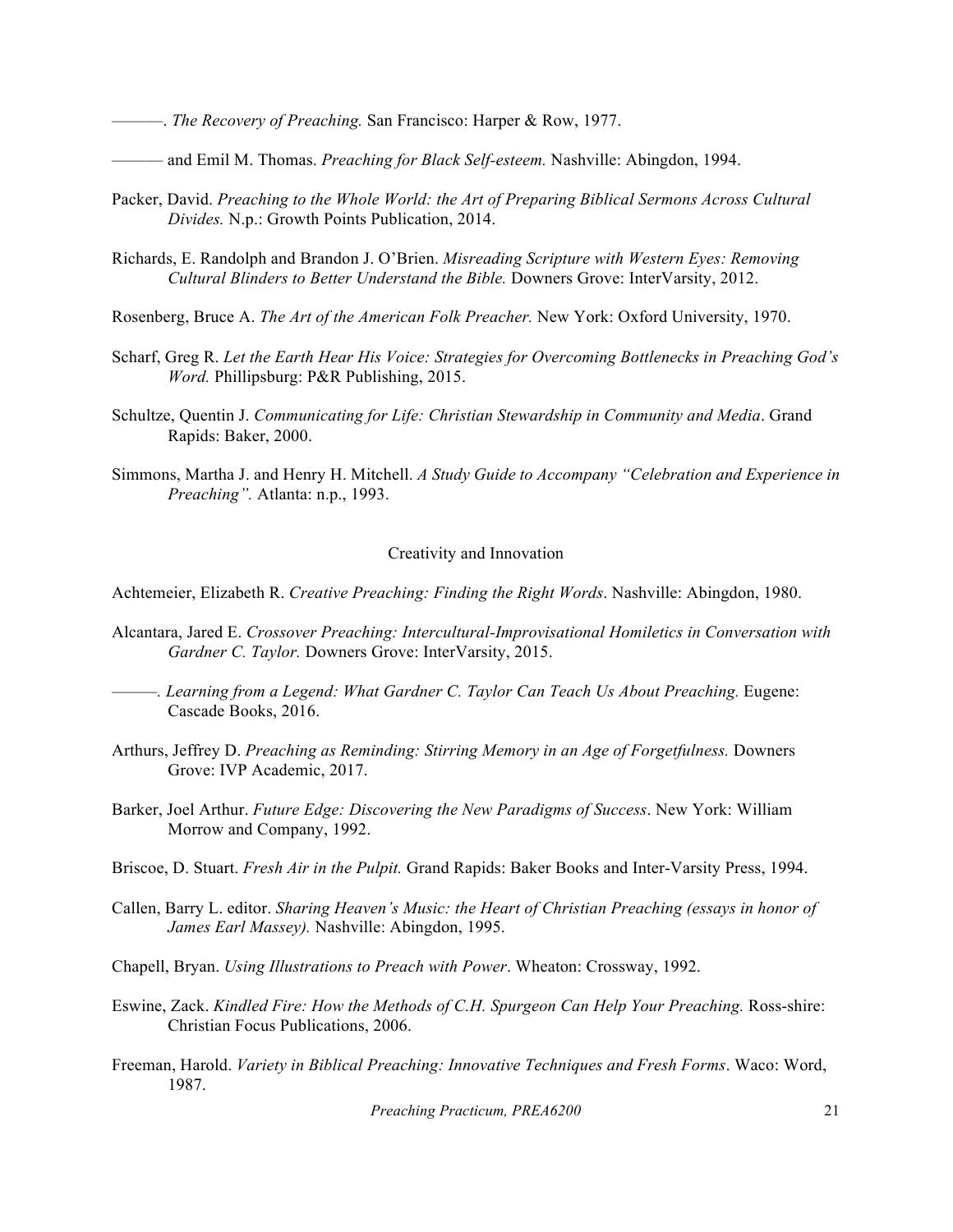———. *The Recovery of Preaching.* San Francisco: Harper & Row, 1977.

——— and Emil M. Thomas. *Preaching for Black Self-esteem.* Nashville: Abingdon, 1994.

- Packer, David. *Preaching to the Whole World: the Art of Preparing Biblical Sermons Across Cultural Divides.* N.p.: Growth Points Publication, 2014.
- Richards, E. Randolph and Brandon J. O'Brien. *Misreading Scripture with Western Eyes: Removing Cultural Blinders to Better Understand the Bible.* Downers Grove: InterVarsity, 2012.
- Rosenberg, Bruce A. *The Art of the American Folk Preacher.* New York: Oxford University, 1970.
- Scharf, Greg R. *Let the Earth Hear His Voice: Strategies for Overcoming Bottlenecks in Preaching God's Word.* Phillipsburg: P&R Publishing, 2015.
- Schultze, Quentin J. *Communicating for Life: Christian Stewardship in Community and Media*. Grand Rapids: Baker, 2000.
- Simmons, Martha J. and Henry H. Mitchell. *A Study Guide to Accompany "Celebration and Experience in Preaching".* Atlanta: n.p., 1993.

### Creativity and Innovation

Achtemeier, Elizabeth R. *Creative Preaching: Finding the Right Words*. Nashville: Abingdon, 1980.

- Alcantara, Jared E. *Crossover Preaching: Intercultural-Improvisational Homiletics in Conversation with Gardner C. Taylor.* Downers Grove: InterVarsity, 2015.
	- *———. Learning from a Legend: What Gardner C. Taylor Can Teach Us About Preaching.* Eugene: Cascade Books, 2016.
- Arthurs, Jeffrey D. *Preaching as Reminding: Stirring Memory in an Age of Forgetfulness.* Downers Grove: IVP Academic, 2017.
- Barker, Joel Arthur. *Future Edge: Discovering the New Paradigms of Success*. New York: William Morrow and Company, 1992.
- Briscoe, D. Stuart. *Fresh Air in the Pulpit.* Grand Rapids: Baker Books and Inter-Varsity Press, 1994.
- Callen, Barry L. editor. *Sharing Heaven's Music: the Heart of Christian Preaching (essays in honor of James Earl Massey).* Nashville: Abingdon, 1995.
- Chapell, Bryan. *Using Illustrations to Preach with Power*. Wheaton: Crossway, 1992.
- Eswine, Zack. *Kindled Fire: How the Methods of C.H. Spurgeon Can Help Your Preaching.* Ross-shire: Christian Focus Publications, 2006.
- Freeman, Harold. *Variety in Biblical Preaching: Innovative Techniques and Fresh Forms*. Waco: Word, 1987.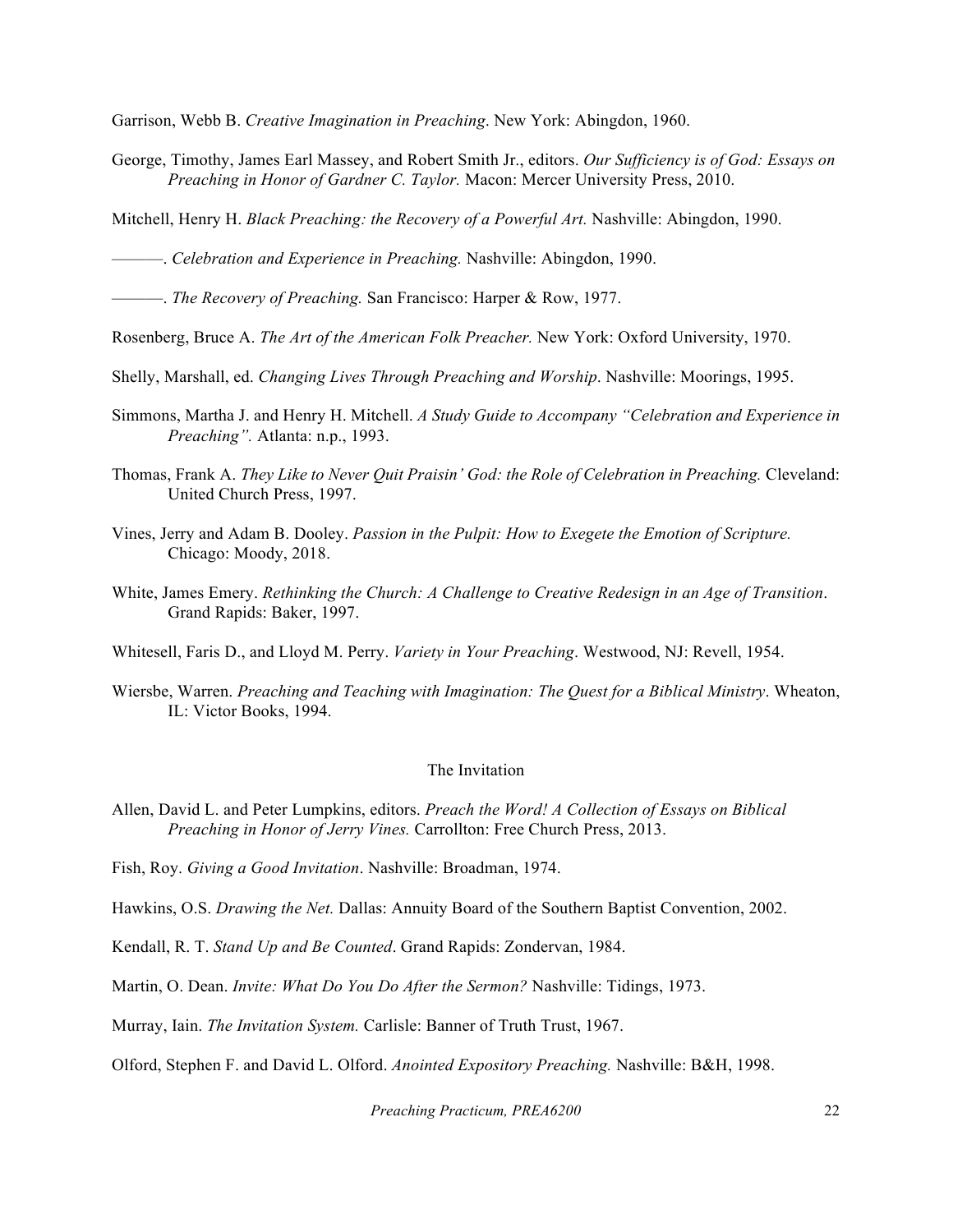Garrison, Webb B. *Creative Imagination in Preaching*. New York: Abingdon, 1960.

George, Timothy, James Earl Massey, and Robert Smith Jr., editors. *Our Sufficiency is of God: Essays on Preaching in Honor of Gardner C. Taylor.* Macon: Mercer University Press, 2010.

Mitchell, Henry H. *Black Preaching: the Recovery of a Powerful Art.* Nashville: Abingdon, 1990.

———. *Celebration and Experience in Preaching.* Nashville: Abingdon, 1990.

———. *The Recovery of Preaching.* San Francisco: Harper & Row, 1977.

Rosenberg, Bruce A. *The Art of the American Folk Preacher.* New York: Oxford University, 1970.

Shelly, Marshall, ed. *Changing Lives Through Preaching and Worship*. Nashville: Moorings, 1995.

- Simmons, Martha J. and Henry H. Mitchell. *A Study Guide to Accompany "Celebration and Experience in Preaching".* Atlanta: n.p., 1993.
- Thomas, Frank A. *They Like to Never Quit Praisin' God: the Role of Celebration in Preaching.* Cleveland: United Church Press, 1997.
- Vines, Jerry and Adam B. Dooley. *Passion in the Pulpit: How to Exegete the Emotion of Scripture.*  Chicago: Moody, 2018.
- White, James Emery. *Rethinking the Church: A Challenge to Creative Redesign in an Age of Transition*. Grand Rapids: Baker, 1997.

Whitesell, Faris D., and Lloyd M. Perry. *Variety in Your Preaching*. Westwood, NJ: Revell, 1954.

Wiersbe, Warren. *Preaching and Teaching with Imagination: The Quest for a Biblical Ministry*. Wheaton, IL: Victor Books, 1994.

# The Invitation

Allen, David L. and Peter Lumpkins, editors. *Preach the Word! A Collection of Essays on Biblical Preaching in Honor of Jerry Vines.* Carrollton: Free Church Press, 2013.

Fish, Roy. *Giving a Good Invitation*. Nashville: Broadman, 1974.

Hawkins, O.S. *Drawing the Net.* Dallas: Annuity Board of the Southern Baptist Convention, 2002.

Kendall, R. T. *Stand Up and Be Counted*. Grand Rapids: Zondervan, 1984.

Martin, O. Dean. *Invite: What Do You Do After the Sermon?* Nashville: Tidings, 1973.

Murray, Iain. *The Invitation System.* Carlisle: Banner of Truth Trust, 1967.

Olford, Stephen F. and David L. Olford. *Anointed Expository Preaching.* Nashville: B&H, 1998.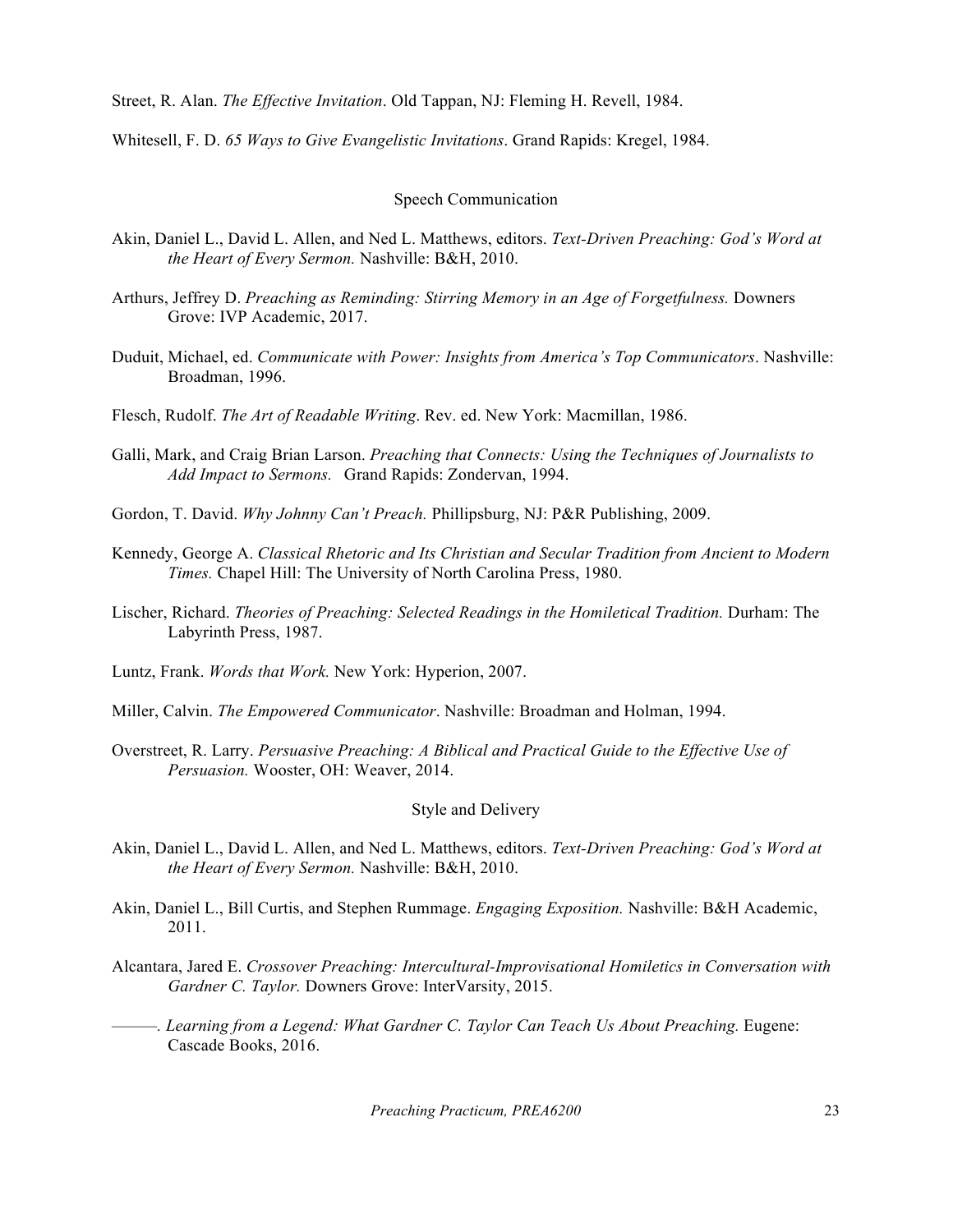Street, R. Alan. *The Effective Invitation*. Old Tappan, NJ: Fleming H. Revell, 1984.

Whitesell, F. D. *65 Ways to Give Evangelistic Invitations*. Grand Rapids: Kregel, 1984.

### Speech Communication

- Akin, Daniel L., David L. Allen, and Ned L. Matthews, editors. *Text-Driven Preaching: God's Word at the Heart of Every Sermon.* Nashville: B&H, 2010.
- Arthurs, Jeffrey D. *Preaching as Reminding: Stirring Memory in an Age of Forgetfulness.* Downers Grove: IVP Academic, 2017.
- Duduit, Michael, ed. *Communicate with Power: Insights from America's Top Communicators*. Nashville: Broadman, 1996.
- Flesch, Rudolf. *The Art of Readable Writing*. Rev. ed. New York: Macmillan, 1986.
- Galli, Mark, and Craig Brian Larson. *Preaching that Connects: Using the Techniques of Journalists to Add Impact to Sermons.* Grand Rapids: Zondervan, 1994.
- Gordon, T. David. *Why Johnny Can't Preach.* Phillipsburg, NJ: P&R Publishing, 2009.
- Kennedy, George A. *Classical Rhetoric and Its Christian and Secular Tradition from Ancient to Modern Times.* Chapel Hill: The University of North Carolina Press, 1980.
- Lischer, Richard. *Theories of Preaching: Selected Readings in the Homiletical Tradition.* Durham: The Labyrinth Press, 1987.
- Luntz, Frank. *Words that Work.* New York: Hyperion, 2007.
- Miller, Calvin. *The Empowered Communicator*. Nashville: Broadman and Holman, 1994.
- Overstreet, R. Larry. *Persuasive Preaching: A Biblical and Practical Guide to the Effective Use of Persuasion.* Wooster, OH: Weaver, 2014.

## Style and Delivery

- Akin, Daniel L., David L. Allen, and Ned L. Matthews, editors. *Text-Driven Preaching: God's Word at the Heart of Every Sermon.* Nashville: B&H, 2010.
- Akin, Daniel L., Bill Curtis, and Stephen Rummage. *Engaging Exposition.* Nashville: B&H Academic, 2011.
- Alcantara, Jared E. *Crossover Preaching: Intercultural-Improvisational Homiletics in Conversation with Gardner C. Taylor.* Downers Grove: InterVarsity, 2015.
- *———. Learning from a Legend: What Gardner C. Taylor Can Teach Us About Preaching.* Eugene: Cascade Books, 2016.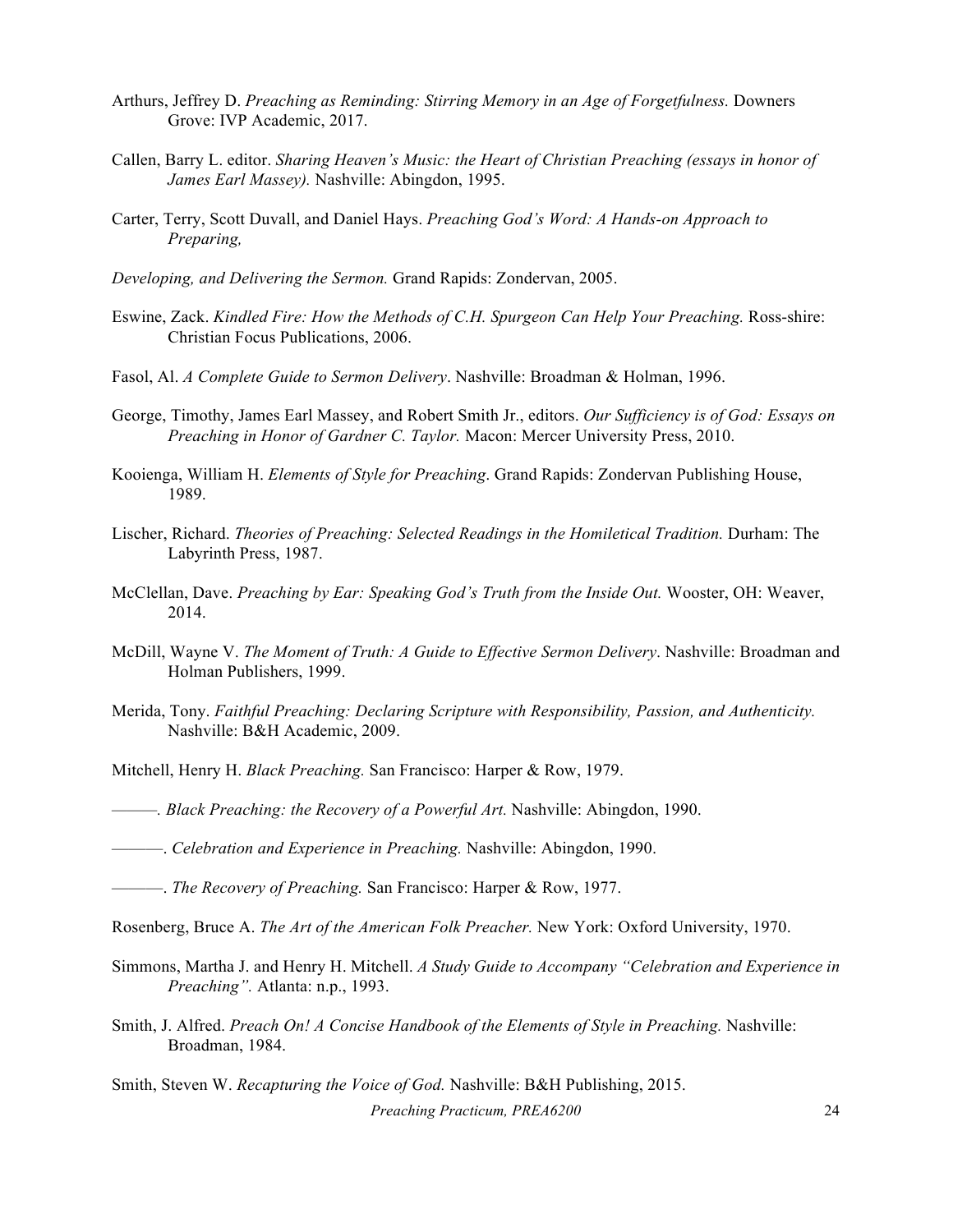- Arthurs, Jeffrey D. *Preaching as Reminding: Stirring Memory in an Age of Forgetfulness.* Downers Grove: IVP Academic, 2017.
- Callen, Barry L. editor. *Sharing Heaven's Music: the Heart of Christian Preaching (essays in honor of James Earl Massey).* Nashville: Abingdon, 1995.
- Carter, Terry, Scott Duvall, and Daniel Hays. *Preaching God's Word: A Hands-on Approach to Preparing,*
- *Developing, and Delivering the Sermon.* Grand Rapids: Zondervan, 2005.
- Eswine, Zack. *Kindled Fire: How the Methods of C.H. Spurgeon Can Help Your Preaching.* Ross-shire: Christian Focus Publications, 2006.
- Fasol, Al. *A Complete Guide to Sermon Delivery*. Nashville: Broadman & Holman, 1996.
- George, Timothy, James Earl Massey, and Robert Smith Jr., editors. *Our Sufficiency is of God: Essays on Preaching in Honor of Gardner C. Taylor.* Macon: Mercer University Press, 2010.
- Kooienga, William H. *Elements of Style for Preaching*. Grand Rapids: Zondervan Publishing House, 1989.
- Lischer, Richard. *Theories of Preaching: Selected Readings in the Homiletical Tradition.* Durham: The Labyrinth Press, 1987.
- McClellan, Dave. *Preaching by Ear: Speaking God's Truth from the Inside Out.* Wooster, OH: Weaver, 2014.
- McDill, Wayne V. *The Moment of Truth: A Guide to Effective Sermon Delivery*. Nashville: Broadman and Holman Publishers, 1999.
- Merida, Tony. *Faithful Preaching: Declaring Scripture with Responsibility, Passion, and Authenticity.* Nashville: B&H Academic, 2009.
- Mitchell, Henry H. *Black Preaching.* San Francisco: Harper & Row, 1979.
- *———. Black Preaching: the Recovery of a Powerful Art.* Nashville: Abingdon, 1990.
- ———. *Celebration and Experience in Preaching.* Nashville: Abingdon, 1990.
- ———. *The Recovery of Preaching.* San Francisco: Harper & Row, 1977.
- Rosenberg, Bruce A. *The Art of the American Folk Preacher.* New York: Oxford University, 1970.
- Simmons, Martha J. and Henry H. Mitchell. *A Study Guide to Accompany "Celebration and Experience in Preaching".* Atlanta: n.p., 1993.
- Smith, J. Alfred. *Preach On! A Concise Handbook of the Elements of Style in Preaching.* Nashville: Broadman, 1984.

Smith, Steven W. *Recapturing the Voice of God.* Nashville: B&H Publishing, 2015.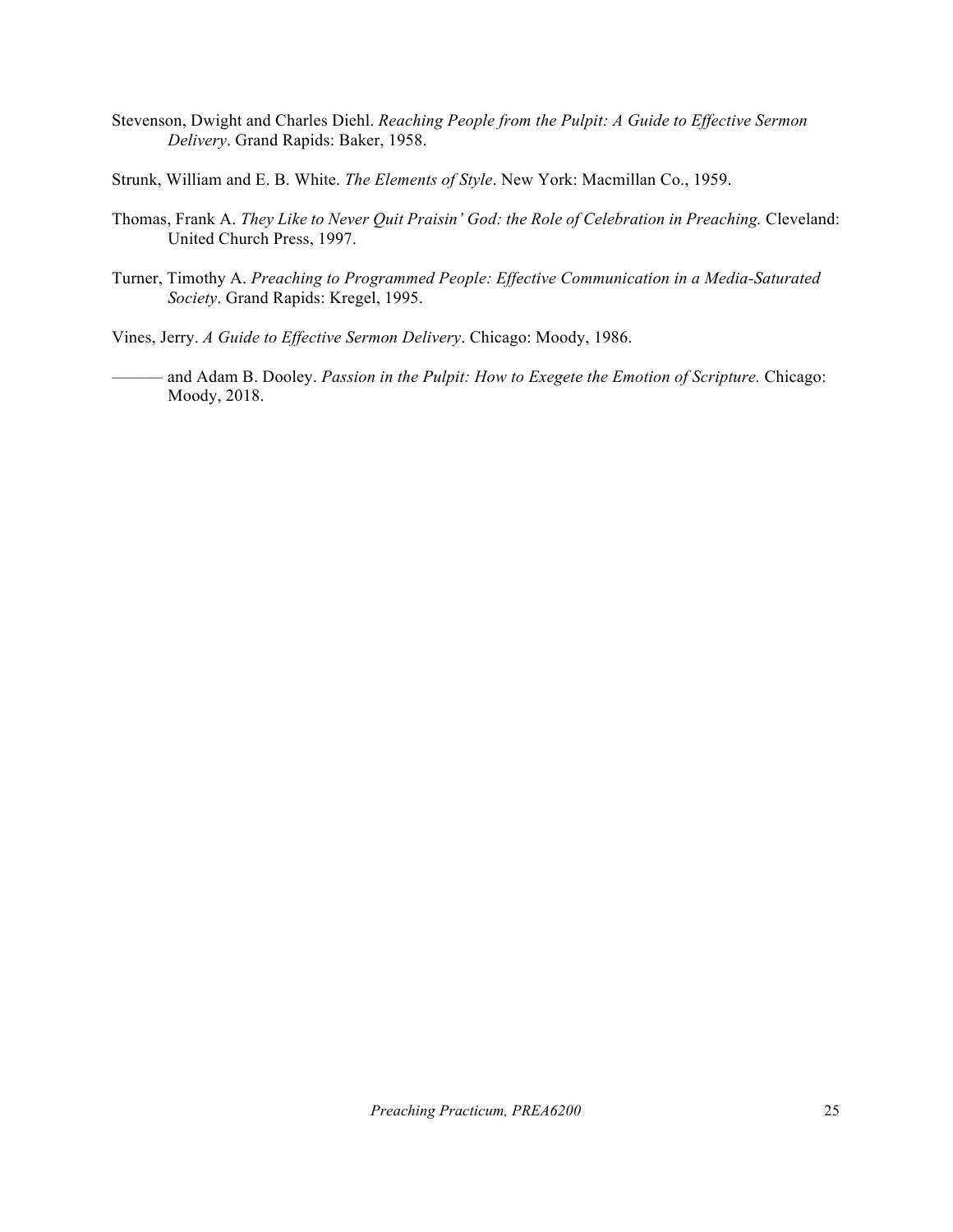- Stevenson, Dwight and Charles Diehl. *Reaching People from the Pulpit: A Guide to Effective Sermon Delivery*. Grand Rapids: Baker, 1958.
- Strunk, William and E. B. White. *The Elements of Style*. New York: Macmillan Co., 1959.
- Thomas, Frank A. *They Like to Never Quit Praisin' God: the Role of Celebration in Preaching.* Cleveland: United Church Press, 1997.
- Turner, Timothy A. *Preaching to Programmed People: Effective Communication in a Media-Saturated Society*. Grand Rapids: Kregel, 1995.
- Vines, Jerry. *A Guide to Effective Sermon Delivery*. Chicago: Moody, 1986.
	- and Adam B. Dooley. *Passion in the Pulpit: How to Exegete the Emotion of Scripture.* Chicago: Moody, 2018.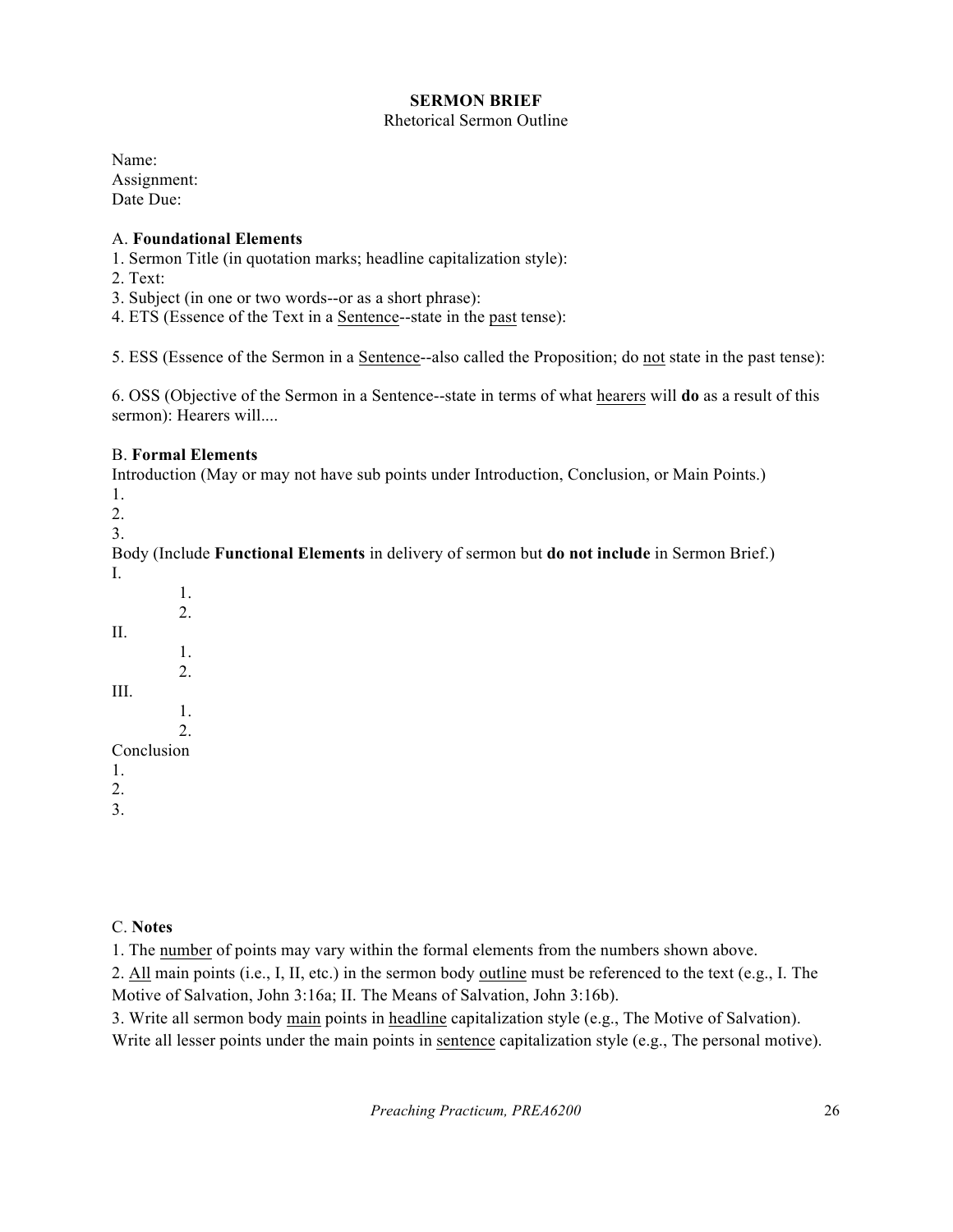# **SERMON BRIEF**

## Rhetorical Sermon Outline

Name: Assignment: Date Due:

# A. **Foundational Elements**

1. Sermon Title (in quotation marks; headline capitalization style):

2. Text:

3. Subject (in one or two words--or as a short phrase):

4. ETS (Essence of the Text in a Sentence--state in the past tense):

5. ESS (Essence of the Sermon in a Sentence--also called the Proposition; do not state in the past tense):

6. OSS (Objective of the Sermon in a Sentence--state in terms of what hearers will **do** as a result of this sermon): Hearers will....

# B. **Formal Elements**

Introduction (May or may not have sub points under Introduction, Conclusion, or Main Points.) 1. 2.

3.

Body (Include **Functional Elements** in delivery of sermon but **do not include** in Sermon Brief.) I.

1. 2. II. 1. 2. III. 1. 2. Conclusion 1. 2. 3.

# C. **Notes**

1. The number of points may vary within the formal elements from the numbers shown above.

2. All main points (i.e., I, II, etc.) in the sermon body outline must be referenced to the text (e.g., I. The Motive of Salvation, John 3:16a; II. The Means of Salvation, John 3:16b).

3. Write all sermon body main points in headline capitalization style (e.g., The Motive of Salvation).

Write all lesser points under the main points in sentence capitalization style (e.g., The personal motive).